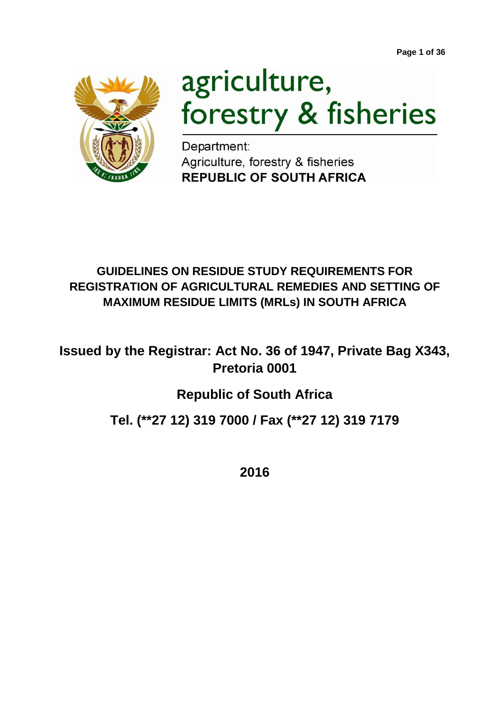**Page 1 of 36**



# agriculture, forestry & fisheries

Department: Agriculture, forestry & fisheries **REPUBLIC OF SOUTH AFRICA** 

## **GUIDELINES ON RESIDUE STUDY REQUIREMENTS FOR REGISTRATION OF AGRICULTURAL REMEDIES AND SETTING OF MAXIMUM RESIDUE LIMITS (MRLs) IN SOUTH AFRICA**

**Issued by the Registrar: Act No. 36 of 1947, Private Bag X343, Pretoria 0001**

## **Republic of South Africa**

## **Tel. (\*\*27 12) 319 7000 / Fax (\*\*27 12) 319 7179**

**2016**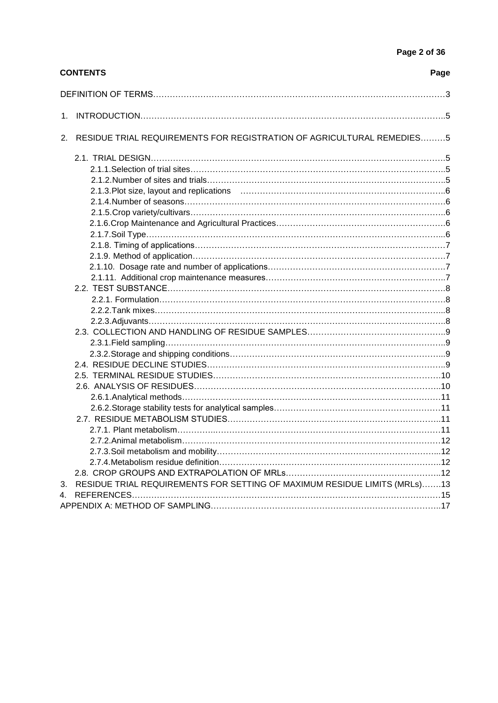|    | <b>CONTENTS</b>                                                           | Page |
|----|---------------------------------------------------------------------------|------|
|    |                                                                           |      |
|    |                                                                           |      |
| 2. | RESIDUE TRIAL REQUIREMENTS FOR REGISTRATION OF AGRICULTURAL REMEDIES5     |      |
|    |                                                                           |      |
|    |                                                                           |      |
|    |                                                                           |      |
|    |                                                                           |      |
|    |                                                                           |      |
|    |                                                                           |      |
|    |                                                                           |      |
|    |                                                                           |      |
|    |                                                                           |      |
|    |                                                                           |      |
|    |                                                                           |      |
|    |                                                                           |      |
|    |                                                                           |      |
|    |                                                                           |      |
|    |                                                                           |      |
|    |                                                                           |      |
|    |                                                                           |      |
|    |                                                                           |      |
|    |                                                                           |      |
|    |                                                                           |      |
|    |                                                                           |      |
|    |                                                                           |      |
|    |                                                                           |      |
|    |                                                                           |      |
|    |                                                                           |      |
|    |                                                                           |      |
|    | 2.7.2 Animal metabolism                                                   | .12  |
|    |                                                                           |      |
|    |                                                                           |      |
|    |                                                                           |      |
| 3. | RESIDUE TRIAL REQUIREMENTS FOR SETTING OF MAXIMUM RESIDUE LIMITS (MRLs)13 |      |
|    |                                                                           |      |
|    |                                                                           |      |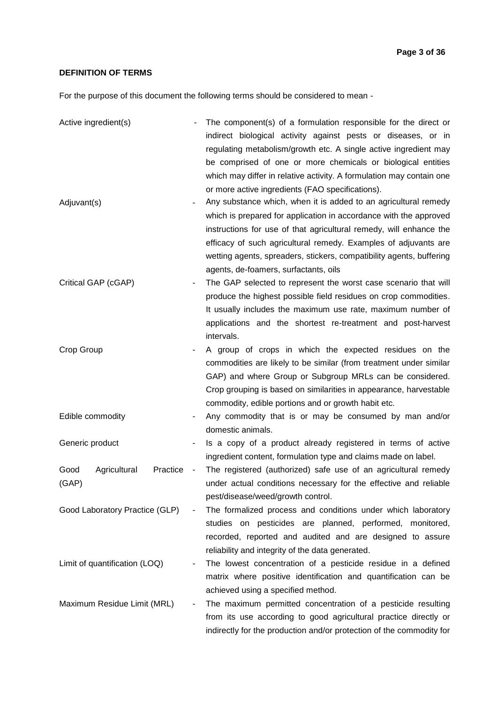#### **DEFINITION OF TERMS**

For the purpose of this document the following terms should be considered to mean -

| Active ingredient(s)                      |                | The component(s) of a formulation responsible for the direct or<br>indirect biological activity against pests or diseases, or in<br>regulating metabolism/growth etc. A single active ingredient may<br>be comprised of one or more chemicals or biological entities<br>which may differ in relative activity. A formulation may contain one<br>or more active ingredients (FAO specifications). |
|-------------------------------------------|----------------|--------------------------------------------------------------------------------------------------------------------------------------------------------------------------------------------------------------------------------------------------------------------------------------------------------------------------------------------------------------------------------------------------|
| Adjuvant(s)                               |                | Any substance which, when it is added to an agricultural remedy<br>which is prepared for application in accordance with the approved<br>instructions for use of that agricultural remedy, will enhance the<br>efficacy of such agricultural remedy. Examples of adjuvants are<br>wetting agents, spreaders, stickers, compatibility agents, buffering<br>agents, de-foamers, surfactants, oils   |
| Critical GAP (cGAP)                       |                | The GAP selected to represent the worst case scenario that will<br>produce the highest possible field residues on crop commodities.<br>It usually includes the maximum use rate, maximum number of<br>applications and the shortest re-treatment and post-harvest<br>intervals.                                                                                                                  |
| Crop Group                                |                | A group of crops in which the expected residues on the<br>commodities are likely to be similar (from treatment under similar<br>GAP) and where Group or Subgroup MRLs can be considered.<br>Crop grouping is based on similarities in appearance, harvestable<br>commodity, edible portions and or growth habit etc.                                                                             |
| Edible commodity                          |                | Any commodity that is or may be consumed by man and/or<br>domestic animals.                                                                                                                                                                                                                                                                                                                      |
| Generic product                           |                | Is a copy of a product already registered in terms of active<br>ingredient content, formulation type and claims made on label.                                                                                                                                                                                                                                                                   |
| Agricultural<br>Practice<br>Good<br>(GAP) | $\blacksquare$ | The registered (authorized) safe use of an agricultural remedy<br>under actual conditions necessary for the effective and reliable<br>pest/disease/weed/growth control.                                                                                                                                                                                                                          |
| Good Laboratory Practice (GLP)            |                | The formalized process and conditions under which laboratory<br>studies on pesticides are planned, performed, monitored,<br>recorded, reported and audited and are designed to assure<br>reliability and integrity of the data generated.                                                                                                                                                        |
| Limit of quantification (LOQ)             |                | The lowest concentration of a pesticide residue in a defined<br>matrix where positive identification and quantification can be<br>achieved using a specified method.                                                                                                                                                                                                                             |
| Maximum Residue Limit (MRL)               |                | The maximum permitted concentration of a pesticide resulting<br>from its use according to good agricultural practice directly or<br>indirectly for the production and/or protection of the commodity for                                                                                                                                                                                         |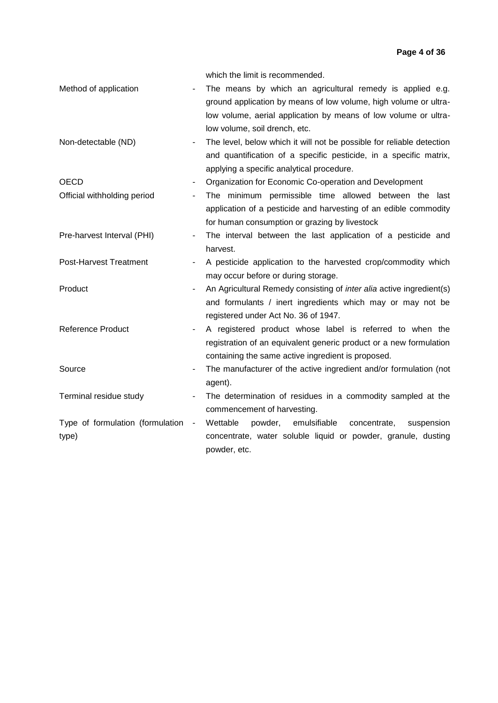|                                  |                              | which the limit is recommended.                                                                                               |
|----------------------------------|------------------------------|-------------------------------------------------------------------------------------------------------------------------------|
| Method of application            |                              | The means by which an agricultural remedy is applied e.g.<br>ground application by means of low volume, high volume or ultra- |
|                                  |                              | low volume, aerial application by means of low volume or ultra-                                                               |
|                                  |                              |                                                                                                                               |
|                                  |                              | low volume, soil drench, etc.                                                                                                 |
| Non-detectable (ND)              | $\blacksquare$               | The level, below which it will not be possible for reliable detection                                                         |
|                                  |                              | and quantification of a specific pesticide, in a specific matrix,                                                             |
|                                  |                              | applying a specific analytical procedure.                                                                                     |
| <b>OECD</b>                      | $\blacksquare$               | Organization for Economic Co-operation and Development                                                                        |
| Official withholding period      | $\blacksquare$               | The minimum permissible time allowed between the last                                                                         |
|                                  |                              | application of a pesticide and harvesting of an edible commodity                                                              |
|                                  |                              | for human consumption or grazing by livestock                                                                                 |
| Pre-harvest Interval (PHI)       | $\qquad \qquad \blacksquare$ | The interval between the last application of a pesticide and                                                                  |
|                                  |                              | harvest.                                                                                                                      |
| <b>Post-Harvest Treatment</b>    | $\overline{\phantom{a}}$     | A pesticide application to the harvested crop/commodity which                                                                 |
|                                  |                              | may occur before or during storage.                                                                                           |
| Product                          |                              | An Agricultural Remedy consisting of <i>inter alia</i> active ingredient(s)                                                   |
|                                  |                              | and formulants / inert ingredients which may or may not be                                                                    |
|                                  |                              | registered under Act No. 36 of 1947.                                                                                          |
| <b>Reference Product</b>         | $\blacksquare$               | A registered product whose label is referred to when the                                                                      |
|                                  |                              | registration of an equivalent generic product or a new formulation                                                            |
|                                  |                              | containing the same active ingredient is proposed.                                                                            |
| Source                           |                              | The manufacturer of the active ingredient and/or formulation (not                                                             |
|                                  |                              | agent).                                                                                                                       |
| Terminal residue study           |                              | The determination of residues in a commodity sampled at the                                                                   |
|                                  |                              | commencement of harvesting.                                                                                                   |
| Type of formulation (formulation | $\blacksquare$               | Wettable<br>emulsifiable<br>powder,<br>concentrate,<br>suspension                                                             |
| type)                            |                              | concentrate, water soluble liquid or powder, granule, dusting                                                                 |
|                                  |                              | powder, etc.                                                                                                                  |
|                                  |                              |                                                                                                                               |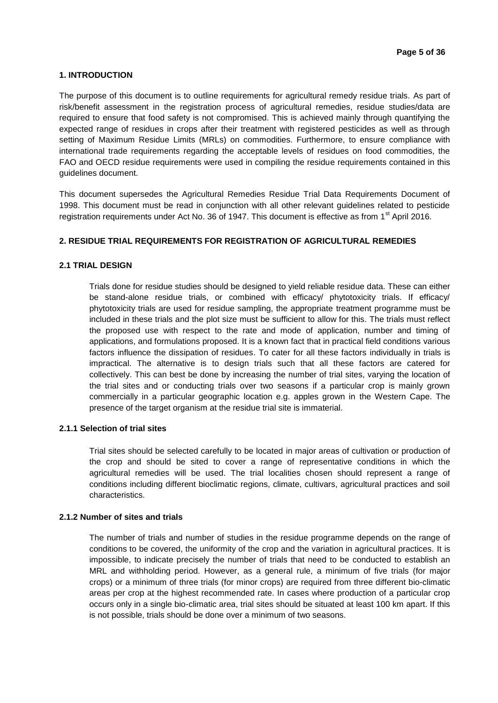#### **1. INTRODUCTION**

The purpose of this document is to outline requirements for agricultural remedy residue trials. As part of risk/benefit assessment in the registration process of agricultural remedies, residue studies/data are required to ensure that food safety is not compromised. This is achieved mainly through quantifying the expected range of residues in crops after their treatment with registered pesticides as well as through setting of Maximum Residue Limits (MRLs) on commodities. Furthermore, to ensure compliance with international trade requirements regarding the acceptable levels of residues on food commodities, the FAO and OECD residue requirements were used in compiling the residue requirements contained in this guidelines document.

This document supersedes the Agricultural Remedies Residue Trial Data Requirements Document of 1998. This document must be read in conjunction with all other relevant guidelines related to pesticide registration requirements under Act No. 36 of 1947. This document is effective as from 1<sup>st</sup> April 2016.

#### **2. RESIDUE TRIAL REQUIREMENTS FOR REGISTRATION OF AGRICULTURAL REMEDIES**

#### **2.1 TRIAL DESIGN**

Trials done for residue studies should be designed to yield reliable residue data. These can either be stand-alone residue trials, or combined with efficacy/ phytotoxicity trials. If efficacy/ phytotoxicity trials are used for residue sampling, the appropriate treatment programme must be included in these trials and the plot size must be sufficient to allow for this. The trials must reflect the proposed use with respect to the rate and mode of application, number and timing of applications, and formulations proposed. It is a known fact that in practical field conditions various factors influence the dissipation of residues. To cater for all these factors individually in trials is impractical. The alternative is to design trials such that all these factors are catered for collectively. This can best be done by increasing the number of trial sites, varying the location of the trial sites and or conducting trials over two seasons if a particular crop is mainly grown commercially in a particular geographic location e.g. apples grown in the Western Cape. The presence of the target organism at the residue trial site is immaterial.

#### **2.1.1 Selection of trial sites**

Trial sites should be selected carefully to be located in major areas of cultivation or production of the crop and should be sited to cover a range of representative conditions in which the agricultural remedies will be used. The trial localities chosen should represent a range of conditions including different bioclimatic regions, climate, cultivars, agricultural practices and soil characteristics.

#### **2.1.2 Number of sites and trials**

The number of trials and number of studies in the residue programme depends on the range of conditions to be covered, the uniformity of the crop and the variation in agricultural practices. It is impossible, to indicate precisely the number of trials that need to be conducted to establish an MRL and withholding period. However, as a general rule, a minimum of five trials (for major crops) or a minimum of three trials (for minor crops) are required from three different bio-climatic areas per crop at the highest recommended rate. In cases where production of a particular crop occurs only in a single bio-climatic area, trial sites should be situated at least 100 km apart. If this is not possible, trials should be done over a minimum of two seasons.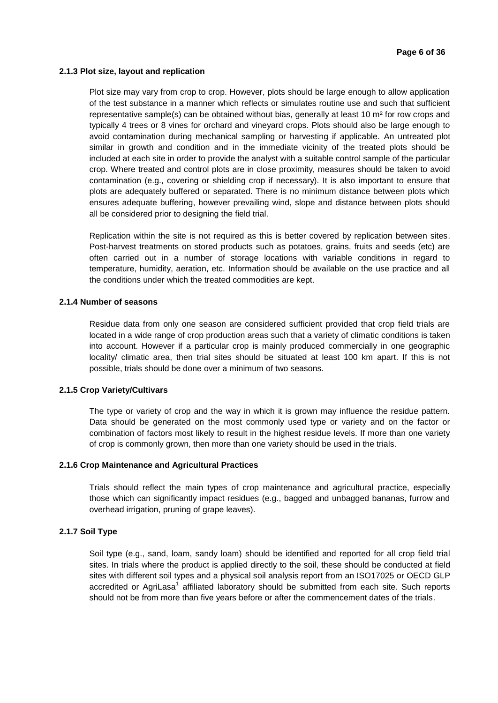#### **2.1.3 Plot size, layout and replication**

Plot size may vary from crop to crop. However, plots should be large enough to allow application of the test substance in a manner which reflects or simulates routine use and such that sufficient representative sample(s) can be obtained without bias, generally at least 10  $m<sup>2</sup>$  for row crops and typically 4 trees or 8 vines for orchard and vineyard crops. Plots should also be large enough to avoid contamination during mechanical sampling or harvesting if applicable. An untreated plot similar in growth and condition and in the immediate vicinity of the treated plots should be included at each site in order to provide the analyst with a suitable control sample of the particular crop. Where treated and control plots are in close proximity, measures should be taken to avoid contamination (e.g., covering or shielding crop if necessary). It is also important to ensure that plots are adequately buffered or separated. There is no minimum distance between plots which ensures adequate buffering, however prevailing wind, slope and distance between plots should all be considered prior to designing the field trial.

Replication within the site is not required as this is better covered by replication between sites. Post-harvest treatments on stored products such as potatoes, grains, fruits and seeds (etc) are often carried out in a number of storage locations with variable conditions in regard to temperature, humidity, aeration, etc. Information should be available on the use practice and all the conditions under which the treated commodities are kept.

#### **2.1.4 Number of seasons**

Residue data from only one season are considered sufficient provided that crop field trials are located in a wide range of crop production areas such that a variety of climatic conditions is taken into account. However if a particular crop is mainly produced commercially in one geographic locality/ climatic area, then trial sites should be situated at least 100 km apart. If this is not possible, trials should be done over a minimum of two seasons.

#### **2.1.5 Crop Variety/Cultivars**

The type or variety of crop and the way in which it is grown may influence the residue pattern. Data should be generated on the most commonly used type or variety and on the factor or combination of factors most likely to result in the highest residue levels. If more than one variety of crop is commonly grown, then more than one variety should be used in the trials.

#### **2.1.6 Crop Maintenance and Agricultural Practices**

Trials should reflect the main types of crop maintenance and agricultural practice, especially those which can significantly impact residues (e.g., bagged and unbagged bananas, furrow and overhead irrigation, pruning of grape leaves).

#### **2.1.7 Soil Type**

Soil type (e.g., sand, loam, sandy loam) should be identified and reported for all crop field trial sites. In trials where the product is applied directly to the soil, these should be conducted at field sites with different soil types and a physical soil analysis report from an ISO17025 or OECD GLP accredited or AgriLasa<sup>1</sup> affiliated laboratory should be submitted from each site. Such reports should not be from more than five years before or after the commencement dates of the trials.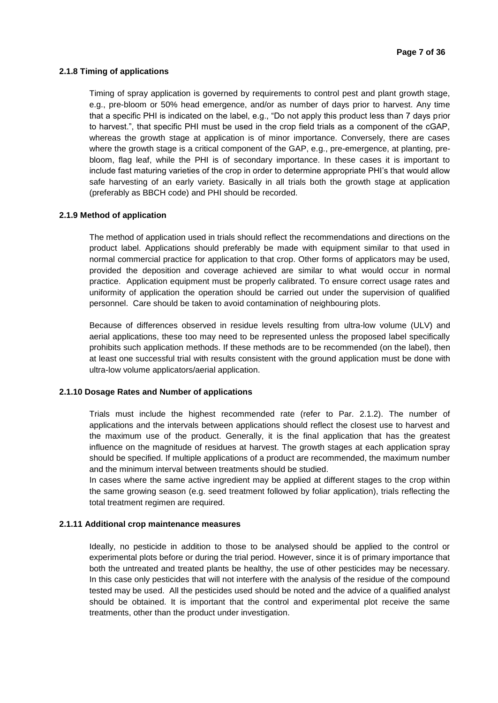#### **2.1.8 Timing of applications**

Timing of spray application is governed by requirements to control pest and plant growth stage, e.g., pre-bloom or 50% head emergence, and/or as number of days prior to harvest. Any time that a specific PHI is indicated on the label, e.g., "Do not apply this product less than 7 days prior to harvest.", that specific PHI must be used in the crop field trials as a component of the cGAP, whereas the growth stage at application is of minor importance. Conversely, there are cases where the growth stage is a critical component of the GAP, e.g., pre-emergence, at planting, prebloom, flag leaf, while the PHI is of secondary importance. In these cases it is important to include fast maturing varieties of the crop in order to determine appropriate PHI's that would allow safe harvesting of an early variety. Basically in all trials both the growth stage at application (preferably as BBCH code) and PHI should be recorded.

#### **2.1.9 Method of application**

The method of application used in trials should reflect the recommendations and directions on the product label. Applications should preferably be made with equipment similar to that used in normal commercial practice for application to that crop. Other forms of applicators may be used, provided the deposition and coverage achieved are similar to what would occur in normal practice. Application equipment must be properly calibrated. To ensure correct usage rates and uniformity of application the operation should be carried out under the supervision of qualified personnel. Care should be taken to avoid contamination of neighbouring plots.

Because of differences observed in residue levels resulting from ultra-low volume (ULV) and aerial applications, these too may need to be represented unless the proposed label specifically prohibits such application methods. If these methods are to be recommended (on the label), then at least one successful trial with results consistent with the ground application must be done with ultra-low volume applicators/aerial application.

#### **2.1.10 Dosage Rates and Number of applications**

Trials must include the highest recommended rate (refer to Par. 2.1.2). The number of applications and the intervals between applications should reflect the closest use to harvest and the maximum use of the product. Generally, it is the final application that has the greatest influence on the magnitude of residues at harvest. The growth stages at each application spray should be specified. If multiple applications of a product are recommended, the maximum number and the minimum interval between treatments should be studied.

In cases where the same active ingredient may be applied at different stages to the crop within the same growing season (e.g. seed treatment followed by foliar application), trials reflecting the total treatment regimen are required.

#### **2.1.11 Additional crop maintenance measures**

Ideally, no pesticide in addition to those to be analysed should be applied to the control or experimental plots before or during the trial period. However, since it is of primary importance that both the untreated and treated plants be healthy, the use of other pesticides may be necessary. In this case only pesticides that will not interfere with the analysis of the residue of the compound tested may be used. All the pesticides used should be noted and the advice of a qualified analyst should be obtained. It is important that the control and experimental plot receive the same treatments, other than the product under investigation.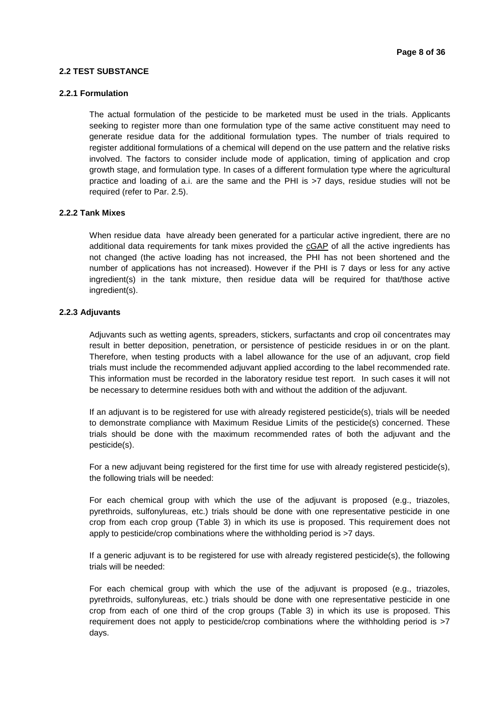#### **2.2 TEST SUBSTANCE**

#### **2.2.1 Formulation**

The actual formulation of the pesticide to be marketed must be used in the trials. Applicants seeking to register more than one formulation type of the same active constituent may need to generate residue data for the additional formulation types. The number of trials required to register additional formulations of a chemical will depend on the use pattern and the relative risks involved. The factors to consider include mode of application, timing of application and crop growth stage, and formulation type. In cases of a different formulation type where the agricultural practice and loading of a.i. are the same and the PHI is >7 days, residue studies will not be required (refer to Par. 2.5).

#### **2.2.2 Tank Mixes**

When residue data have already been generated for a particular active ingredient, there are no additional data requirements for tank mixes provided the cGAP of all the active ingredients has not changed (the active loading has not increased, the PHI has not been shortened and the number of applications has not increased). However if the PHI is 7 days or less for any active ingredient(s) in the tank mixture, then residue data will be required for that/those active ingredient(s).

#### **2.2.3 Adjuvants**

Adjuvants such as wetting agents, spreaders, stickers, surfactants and crop oil concentrates may result in better deposition, penetration, or persistence of pesticide residues in or on the plant. Therefore, when testing products with a label allowance for the use of an adjuvant, crop field trials must include the recommended adjuvant applied according to the label recommended rate. This information must be recorded in the laboratory residue test report. In such cases it will not be necessary to determine residues both with and without the addition of the adjuvant.

If an adjuvant is to be registered for use with already registered pesticide(s), trials will be needed to demonstrate compliance with Maximum Residue Limits of the pesticide(s) concerned. These trials should be done with the maximum recommended rates of both the adjuvant and the pesticide(s).

For a new adjuvant being registered for the first time for use with already registered pesticide(s), the following trials will be needed:

For each chemical group with which the use of the adjuvant is proposed (e.g., triazoles, pyrethroids, sulfonylureas, etc.) trials should be done with one representative pesticide in one crop from each crop group (Table 3) in which its use is proposed. This requirement does not apply to pesticide/crop combinations where the withholding period is >7 days.

If a generic adjuvant is to be registered for use with already registered pesticide(s), the following trials will be needed:

For each chemical group with which the use of the adjuvant is proposed (e.g., triazoles, pyrethroids, sulfonylureas, etc.) trials should be done with one representative pesticide in one crop from each of one third of the crop groups (Table 3) in which its use is proposed. This requirement does not apply to pesticide/crop combinations where the withholding period is >7 days.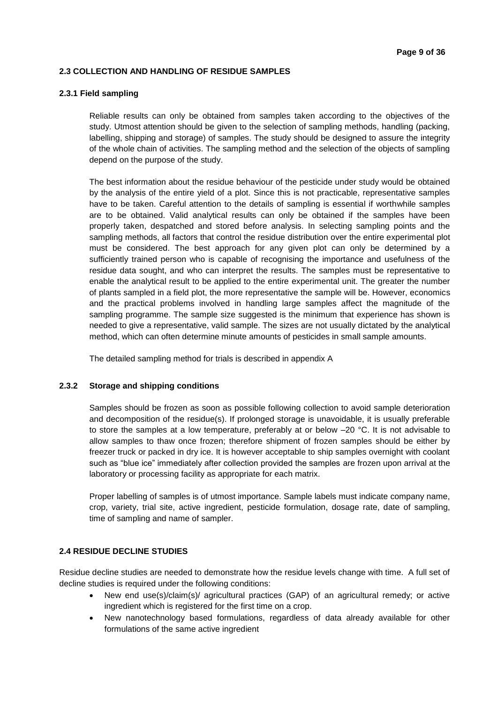#### **2.3 COLLECTION AND HANDLING OF RESIDUE SAMPLES**

#### **2.3.1 Field sampling**

Reliable results can only be obtained from samples taken according to the objectives of the study. Utmost attention should be given to the selection of sampling methods, handling (packing, labelling, shipping and storage) of samples. The study should be designed to assure the integrity of the whole chain of activities. The sampling method and the selection of the objects of sampling depend on the purpose of the study.

The best information about the residue behaviour of the pesticide under study would be obtained by the analysis of the entire yield of a plot. Since this is not practicable, representative samples have to be taken. Careful attention to the details of sampling is essential if worthwhile samples are to be obtained. Valid analytical results can only be obtained if the samples have been properly taken, despatched and stored before analysis. In selecting sampling points and the sampling methods, all factors that control the residue distribution over the entire experimental plot must be considered. The best approach for any given plot can only be determined by a sufficiently trained person who is capable of recognising the importance and usefulness of the residue data sought, and who can interpret the results. The samples must be representative to enable the analytical result to be applied to the entire experimental unit. The greater the number of plants sampled in a field plot, the more representative the sample will be. However, economics and the practical problems involved in handling large samples affect the magnitude of the sampling programme. The sample size suggested is the minimum that experience has shown is needed to give a representative, valid sample. The sizes are not usually dictated by the analytical method, which can often determine minute amounts of pesticides in small sample amounts.

The detailed sampling method for trials is described in appendix A

#### **2.3.2 Storage and shipping conditions**

Samples should be frozen as soon as possible following collection to avoid sample deterioration and decomposition of the residue(s). If prolonged storage is unavoidable, it is usually preferable to store the samples at a low temperature, preferably at or below –20 °C. It is not advisable to allow samples to thaw once frozen; therefore shipment of frozen samples should be either by freezer truck or packed in dry ice. It is however acceptable to ship samples overnight with coolant such as "blue ice" immediately after collection provided the samples are frozen upon arrival at the laboratory or processing facility as appropriate for each matrix.

Proper labelling of samples is of utmost importance. Sample labels must indicate company name, crop, variety, trial site, active ingredient, pesticide formulation, dosage rate, date of sampling, time of sampling and name of sampler.

#### **2.4 RESIDUE DECLINE STUDIES**

Residue decline studies are needed to demonstrate how the residue levels change with time. A full set of decline studies is required under the following conditions:

- New end use(s)/claim(s)/ agricultural practices (GAP) of an agricultural remedy; or active ingredient which is registered for the first time on a crop.
- New nanotechnology based formulations, regardless of data already available for other formulations of the same active ingredient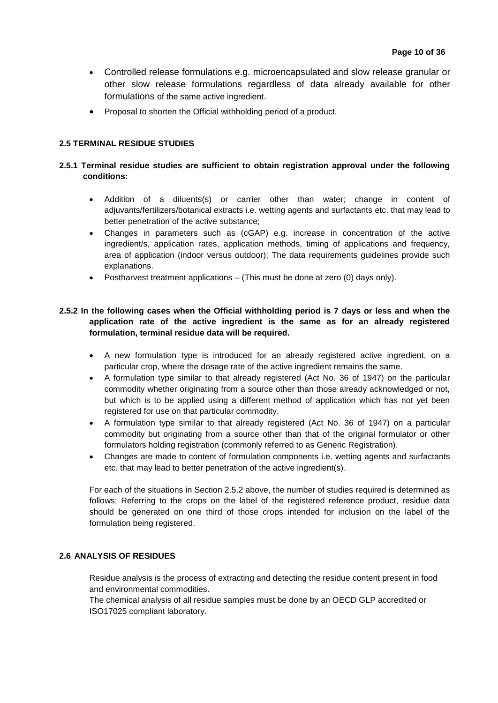- Controlled release formulations e.g. microencapsulated and slow release granular or other slow release formulations regardless of data already available for other formulations of the same active ingredient.
- Proposal to shorten the Official withholding period of a product.

#### **2.5 TERMINAL RESIDUE STUDIES**

#### **2.5.1 Terminal residue studies are sufficient to obtain registration approval under the following conditions:**

- Addition of a diluents(s) or carrier other than water; change in content of adjuvants/fertilizers/botanical extracts i.e. wetting agents and surfactants etc. that may lead to better penetration of the active substance;
- Changes in parameters such as (cGAP) e.g. increase in concentration of the active ingredient/s, application rates, application methods, timing of applications and frequency, area of application (indoor versus outdoor); The data requirements guidelines provide such explanations.
- Postharvest treatment applications (This must be done at zero (0) days only).

#### **2.5.2 In the following cases when the Official withholding period is 7 days or less and when the application rate of the active ingredient is the same as for an already registered formulation, terminal residue data will be required.**

- A new formulation type is introduced for an already registered active ingredient, on a particular crop, where the dosage rate of the active ingredient remains the same.
- A formulation type similar to that already registered (Act No. 36 of 1947) on the particular commodity whether originating from a source other than those already acknowledged or not, but which is to be applied using a different method of application which has not yet been registered for use on that particular commodity.
- A formulation type similar to that already registered (Act No. 36 of 1947) on a particular commodity but originating from a source other than that of the original formulator or other formulators holding registration (commonly referred to as Generic Registration).
- Changes are made to content of formulation components i.e. wetting agents and surfactants etc. that may lead to better penetration of the active ingredient(s).

For each of the situations in Section 2.5.2 above, the number of studies required is determined as follows: Referring to the crops on the label of the registered reference product, residue data should be generated on one third of those crops intended for inclusion on the label of the formulation being registered.

#### **2.6 ANALYSIS OF RESIDUES**

Residue analysis is the process of extracting and detecting the residue content present in food and environmental commodities.

The chemical analysis of all residue samples must be done by an OECD GLP accredited or ISO17025 compliant laboratory.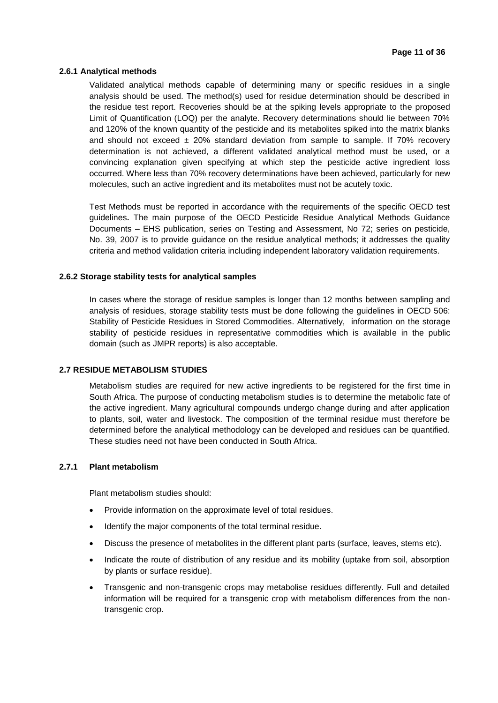#### **2.6.1 Analytical methods**

Validated analytical methods capable of determining many or specific residues in a single analysis should be used. The method(s) used for residue determination should be described in the residue test report. Recoveries should be at the spiking levels appropriate to the proposed Limit of Quantification (LOQ) per the analyte. Recovery determinations should lie between 70% and 120% of the known quantity of the pesticide and its metabolites spiked into the matrix blanks and should not exceed  $\pm$  20% standard deviation from sample to sample. If 70% recovery determination is not achieved, a different validated analytical method must be used, or a convincing explanation given specifying at which step the pesticide active ingredient loss occurred. Where less than 70% recovery determinations have been achieved, particularly for new molecules, such an active ingredient and its metabolites must not be acutely toxic.

Test Methods must be reported in accordance with the requirements of the specific OECD test guidelines**.** The main purpose of the OECD Pesticide Residue Analytical Methods Guidance Documents – EHS publication, series on Testing and Assessment, No 72; series on pesticide, No. 39, 2007 is to provide guidance on the residue analytical methods; it addresses the quality criteria and method validation criteria including independent laboratory validation requirements.

#### **2.6.2 Storage stability tests for analytical samples**

In cases where the storage of residue samples is longer than 12 months between sampling and analysis of residues, storage stability tests must be done following the guidelines in OECD 506: Stability of Pesticide Residues in Stored Commodities. Alternatively, information on the storage stability of pesticide residues in representative commodities which is available in the public domain (such as JMPR reports) is also acceptable.

#### **2.7 RESIDUE METABOLISM STUDIES**

Metabolism studies are required for new active ingredients to be registered for the first time in South Africa. The purpose of conducting metabolism studies is to determine the metabolic fate of the active ingredient. Many agricultural compounds undergo change during and after application to plants, soil, water and livestock. The composition of the terminal residue must therefore be determined before the analytical methodology can be developed and residues can be quantified. These studies need not have been conducted in South Africa.

#### **2.7.1 Plant metabolism**

Plant metabolism studies should:

- Provide information on the approximate level of total residues.
- Identify the major components of the total terminal residue.
- Discuss the presence of metabolites in the different plant parts (surface, leaves, stems etc).
- Indicate the route of distribution of any residue and its mobility (uptake from soil, absorption by plants or surface residue).
- Transgenic and non-transgenic crops may metabolise residues differently. Full and detailed information will be required for a transgenic crop with metabolism differences from the nontransgenic crop.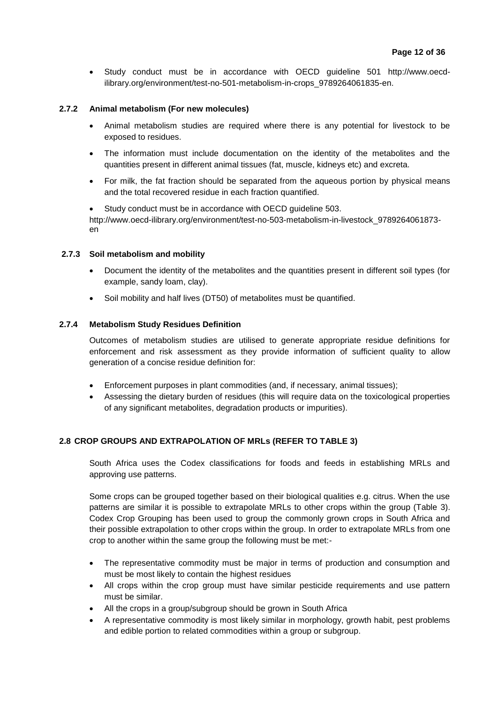Study conduct must be in accordance with OECD guideline 501 http://www.oecdilibrary.org/environment/test-no-501-metabolism-in-crops\_9789264061835-en.

#### **2.7.2 Animal metabolism (For new molecules)**

- Animal metabolism studies are required where there is any potential for livestock to be exposed to residues.
- The information must include documentation on the identity of the metabolites and the quantities present in different animal tissues (fat, muscle, kidneys etc) and excreta.
- For milk, the fat fraction should be separated from the aqueous portion by physical means and the total recovered residue in each fraction quantified.

 Study conduct must be in accordance with OECD guideline 503. http://www.oecd-ilibrary.org/environment/test-no-503-metabolism-in-livestock\_9789264061873 en

#### **2.7.3 Soil metabolism and mobility**

- Document the identity of the metabolites and the quantities present in different soil types (for example, sandy loam, clay).
- Soil mobility and half lives (DT50) of metabolites must be quantified.

#### **2.7.4 Metabolism Study Residues Definition**

Outcomes of metabolism studies are utilised to generate appropriate residue definitions for enforcement and risk assessment as they provide information of sufficient quality to allow generation of a concise residue definition for:

- Enforcement purposes in plant commodities (and, if necessary, animal tissues);
- Assessing the dietary burden of residues (this will require data on the toxicological properties of any significant metabolites, degradation products or impurities).

#### **2.8 CROP GROUPS AND EXTRAPOLATION OF MRLs (REFER TO TABLE 3)**

South Africa uses the Codex classifications for foods and feeds in establishing MRLs and approving use patterns.

Some crops can be grouped together based on their biological qualities e.g. citrus. When the use patterns are similar it is possible to extrapolate MRLs to other crops within the group (Table 3). Codex Crop Grouping has been used to group the commonly grown crops in South Africa and their possible extrapolation to other crops within the group. In order to extrapolate MRLs from one crop to another within the same group the following must be met:-

- The representative commodity must be major in terms of production and consumption and must be most likely to contain the highest residues
- All crops within the crop group must have similar pesticide requirements and use pattern must be similar.
- All the crops in a group/subgroup should be grown in South Africa
- A representative commodity is most likely similar in morphology, growth habit, pest problems and edible portion to related commodities within a group or subgroup.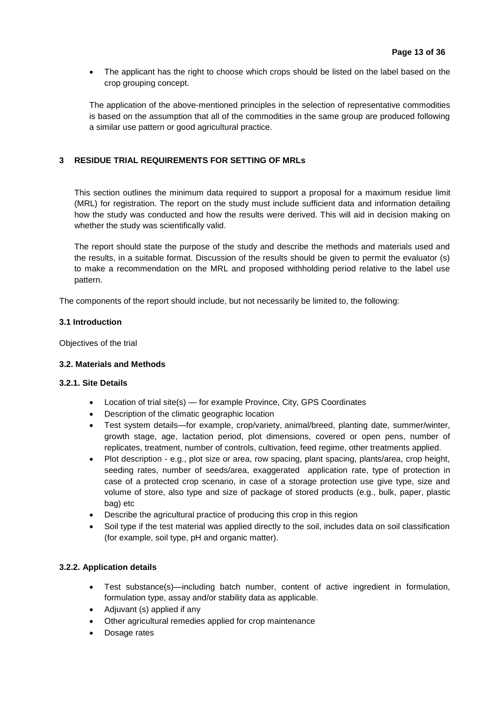The applicant has the right to choose which crops should be listed on the label based on the crop grouping concept.

The application of the above-mentioned principles in the selection of representative commodities is based on the assumption that all of the commodities in the same group are produced following a similar use pattern or good agricultural practice.

#### **3 RESIDUE TRIAL REQUIREMENTS FOR SETTING OF MRLs**

This section outlines the minimum data required to support a proposal for a maximum residue limit (MRL) for registration. The report on the study must include sufficient data and information detailing how the study was conducted and how the results were derived. This will aid in decision making on whether the study was scientifically valid.

The report should state the purpose of the study and describe the methods and materials used and the results, in a suitable format. Discussion of the results should be given to permit the evaluator (s) to make a recommendation on the MRL and proposed withholding period relative to the label use pattern.

The components of the report should include, but not necessarily be limited to, the following:

#### **3.1 Introduction**

Objectives of the trial

#### **3.2. Materials and Methods**

#### **3.2.1. Site Details**

- Location of trial site(s) for example Province, City, GPS Coordinates
- Description of the climatic geographic location
- Test system details—for example, crop/variety, animal/breed, planting date, summer/winter, growth stage, age, lactation period, plot dimensions, covered or open pens, number of replicates, treatment, number of controls, cultivation, feed regime, other treatments applied.
- Plot description e.g., plot size or area, row spacing, plant spacing, plants/area, crop height, seeding rates, number of seeds/area, exaggerated application rate, type of protection in case of a protected crop scenario, in case of a storage protection use give type, size and volume of store, also type and size of package of stored products (e.g., bulk, paper, plastic bag) etc
- Describe the agricultural practice of producing this crop in this region
- Soil type if the test material was applied directly to the soil, includes data on soil classification (for example, soil type, pH and organic matter).

#### **3.2.2. Application details**

- Test substance(s)—including batch number, content of active ingredient in formulation, formulation type, assay and/or stability data as applicable.
- Adjuvant (s) applied if any
- Other agricultural remedies applied for crop maintenance
- Dosage rates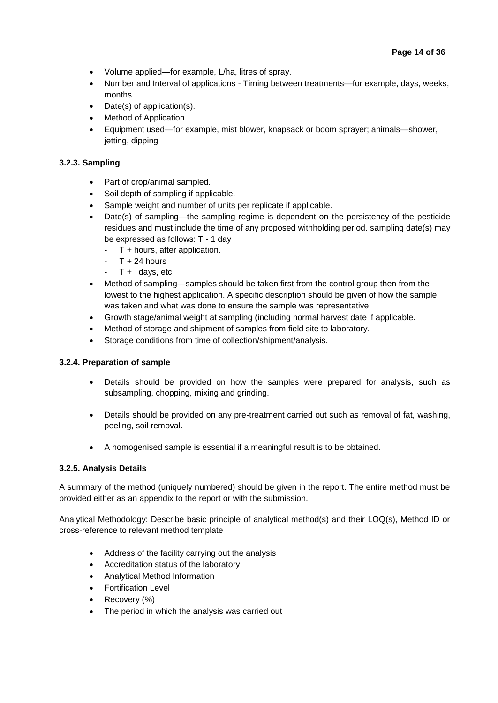- Volume applied—for example, L/ha, litres of spray.
- Number and Interval of applications Timing between treatments—for example, days, weeks, months.
- Date(s) of application(s).
- Method of Application
- Equipment used—for example, mist blower, knapsack or boom sprayer; animals—shower, jetting, dipping

#### **3.2.3. Sampling**

- Part of crop/animal sampled.
- Soil depth of sampling if applicable.
- Sample weight and number of units per replicate if applicable.
- Date(s) of sampling—the sampling regime is dependent on the persistency of the pesticide residues and must include the time of any proposed withholding period. sampling date(s) may be expressed as follows: T - 1 day
	- T + hours, after application.
	- $T + 24$  hours
	- $T +$  days, etc
- Method of sampling—samples should be taken first from the control group then from the lowest to the highest application. A specific description should be given of how the sample was taken and what was done to ensure the sample was representative.
- Growth stage/animal weight at sampling (including normal harvest date if applicable.
- Method of storage and shipment of samples from field site to laboratory.
- Storage conditions from time of collection/shipment/analysis.

#### **3.2.4. Preparation of sample**

- Details should be provided on how the samples were prepared for analysis, such as subsampling, chopping, mixing and grinding.
- Details should be provided on any pre-treatment carried out such as removal of fat, washing, peeling, soil removal.
- A homogenised sample is essential if a meaningful result is to be obtained.

#### **3.2.5. Analysis Details**

A summary of the method (uniquely numbered) should be given in the report. The entire method must be provided either as an appendix to the report or with the submission.

Analytical Methodology: Describe basic principle of analytical method(s) and their LOQ(s), Method ID or cross-reference to relevant method template

- Address of the facility carrying out the analysis
- Accreditation status of the laboratory
- Analytical Method Information
- Fortification Level
- Recovery (%)
- The period in which the analysis was carried out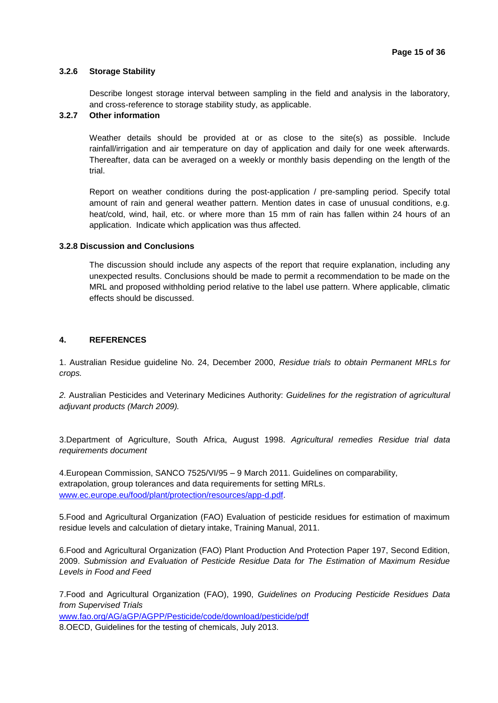#### **3.2.6 Storage Stability**

Describe longest storage interval between sampling in the field and analysis in the laboratory, and cross-reference to storage stability study, as applicable.

#### **3.2.7 Other information**

Weather details should be provided at or as close to the site(s) as possible. Include rainfall/irrigation and air temperature on day of application and daily for one week afterwards. Thereafter, data can be averaged on a weekly or monthly basis depending on the length of the trial.

Report on weather conditions during the post-application / pre-sampling period. Specify total amount of rain and general weather pattern. Mention dates in case of unusual conditions, e.g. heat/cold, wind, hail, etc. or where more than 15 mm of rain has fallen within 24 hours of an application. Indicate which application was thus affected.

#### **3.2.8 Discussion and Conclusions**

The discussion should include any aspects of the report that require explanation, including any unexpected results. Conclusions should be made to permit a recommendation to be made on the MRL and proposed withholding period relative to the label use pattern. Where applicable, climatic effects should be discussed.

#### **4. REFERENCES**

1. Australian Residue guideline No. 24, December 2000, *Residue trials to obtain Permanent MRLs for crops.* 

*2.* Australian Pesticides and Veterinary Medicines Authority: *Guidelines for the registration of agricultural adjuvant products (March 2009).*

3.Department of Agriculture, South Africa, August 1998. *Agricultural remedies Residue trial data requirements document* 

4.European Commission, SANCO 7525/VI/95 – 9 March 2011. Guidelines on comparability, extrapolation, group tolerances and data requirements for setting MRLs. [www.ec.europe.eu/food/plant/protection/resources/app-d.pdf.](http://www.ec.europe.eu/food/plant/protection/resources/app-d.pdf)

5.Food and Agricultural Organization (FAO) Evaluation of pesticide residues for estimation of maximum residue levels and calculation of dietary intake, Training Manual, 2011.

6.Food and Agricultural Organization (FAO) Plant Production And Protection Paper 197, Second Edition, 2009. *Submission and Evaluation of Pesticide Residue Data for The Estimation of Maximum Residue Levels in Food and Feed* 

7.Food and Agricultural Organization (FAO), 1990, *Guidelines on Producing Pesticide Residues Data from Supervised Trials* [www.fao.org/AG/aGP/AGPP/Pesticide/code/download/pesticide/pdf](http://www.fao.org/AG/aGP/AGPP/Pesticide/code/download/pesticide/pdf) 8.OECD, Guidelines for the testing of chemicals, July 2013.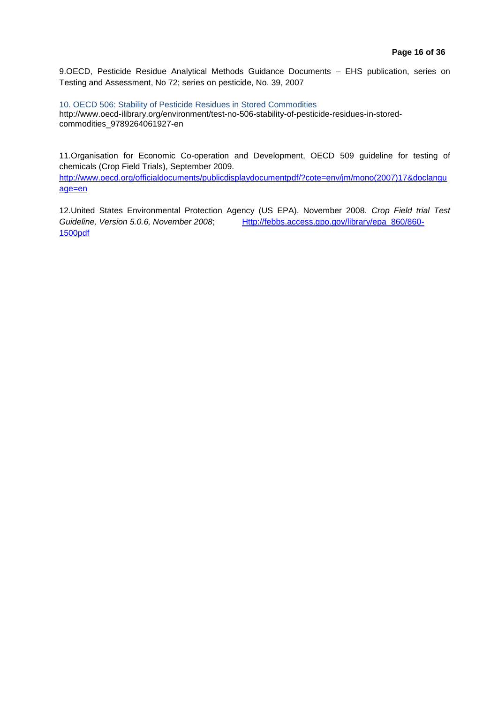9.OECD, Pesticide Residue Analytical Methods Guidance Documents – EHS publication, series on Testing and Assessment, No 72; series on pesticide, No. 39, 2007

10. OECD 506: Stability of Pesticide Residues in Stored Commodities

http://www.oecd-ilibrary.org/environment/test-no-506-stability-of-pesticide-residues-in-storedcommodities\_9789264061927-en

11.Organisation for Economic Co-operation and Development, OECD 509 guideline for testing of chemicals (Crop Field Trials), September 2009.

[http://www.oecd.org/officialdocuments/publicdisplaydocumentpdf/?cote=env/jm/mono\(2007\)17&doclangu](http://www.oecd.org/officialdocuments/publicdisplaydocumentpdf/?cote=env/jm/mono(2007)17&doclanguage=en) [age=en](http://www.oecd.org/officialdocuments/publicdisplaydocumentpdf/?cote=env/jm/mono(2007)17&doclanguage=en)

12.United States Environmental Protection Agency (US EPA), November 2008. *Crop Field trial Test Guideline, Version 5.0.6, November 2008*; [Http://febbs.access.gpo.gov/library/epa\\_860/860-](http://febbs.access.gpo.gov/library/epa_860/860-1500pdf) [1500pdf](http://febbs.access.gpo.gov/library/epa_860/860-1500pdf)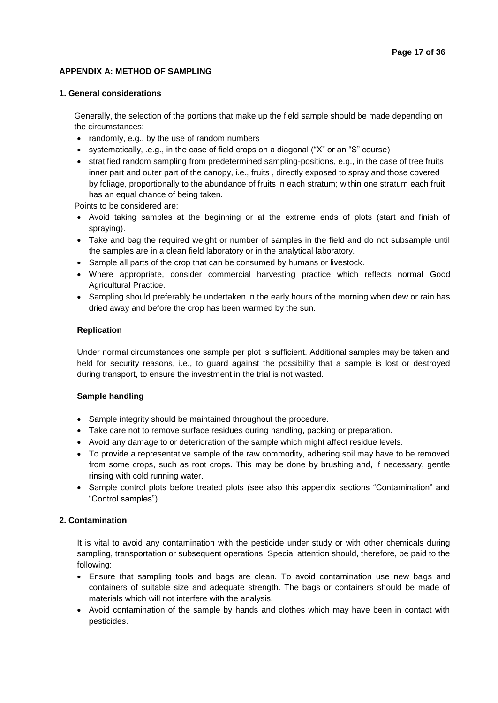#### **APPENDIX A: METHOD OF SAMPLING**

#### **1. General considerations**

Generally, the selection of the portions that make up the field sample should be made depending on the circumstances:

- randomly, e.g., by the use of random numbers
- systematically, .e.g., in the case of field crops on a diagonal ("X" or an "S" course)
- stratified random sampling from predetermined sampling-positions, e.g., in the case of tree fruits inner part and outer part of the canopy, i.e., fruits , directly exposed to spray and those covered by foliage, proportionally to the abundance of fruits in each stratum; within one stratum each fruit has an equal chance of being taken.

Points to be considered are:

- Avoid taking samples at the beginning or at the extreme ends of plots (start and finish of spraying).
- Take and bag the required weight or number of samples in the field and do not subsample until the samples are in a clean field laboratory or in the analytical laboratory.
- Sample all parts of the crop that can be consumed by humans or livestock.
- Where appropriate, consider commercial harvesting practice which reflects normal Good Agricultural Practice.
- Sampling should preferably be undertaken in the early hours of the morning when dew or rain has dried away and before the crop has been warmed by the sun.

#### **Replication**

Under normal circumstances one sample per plot is sufficient. Additional samples may be taken and held for security reasons, i.e., to guard against the possibility that a sample is lost or destroyed during transport, to ensure the investment in the trial is not wasted.

#### **Sample handling**

- Sample integrity should be maintained throughout the procedure.
- Take care not to remove surface residues during handling, packing or preparation.
- Avoid any damage to or deterioration of the sample which might affect residue levels.
- To provide a representative sample of the raw commodity, adhering soil may have to be removed from some crops, such as root crops. This may be done by brushing and, if necessary, gentle rinsing with cold running water.
- Sample control plots before treated plots (see also this appendix sections "Contamination" and "Control samples").

#### **2. Contamination**

It is vital to avoid any contamination with the pesticide under study or with other chemicals during sampling, transportation or subsequent operations. Special attention should, therefore, be paid to the following:

- Ensure that sampling tools and bags are clean. To avoid contamination use new bags and containers of suitable size and adequate strength. The bags or containers should be made of materials which will not interfere with the analysis.
- Avoid contamination of the sample by hands and clothes which may have been in contact with pesticides.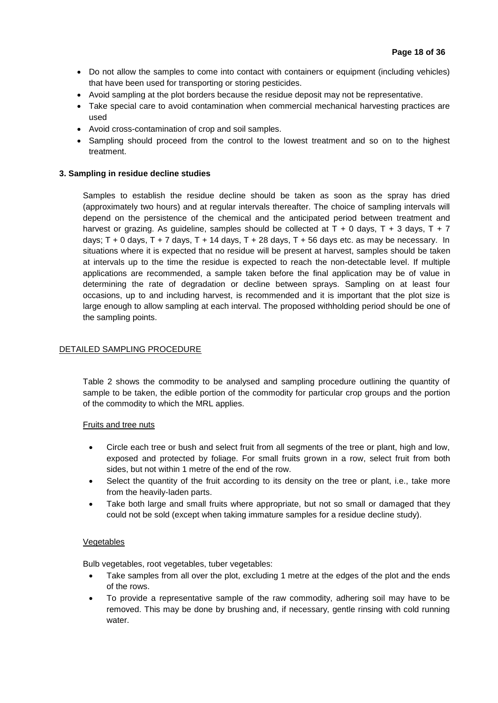- Do not allow the samples to come into contact with containers or equipment (including vehicles) that have been used for transporting or storing pesticides.
- Avoid sampling at the plot borders because the residue deposit may not be representative.
- Take special care to avoid contamination when commercial mechanical harvesting practices are used
- Avoid cross-contamination of crop and soil samples.
- Sampling should proceed from the control to the lowest treatment and so on to the highest treatment.

#### **3. Sampling in residue decline studies**

Samples to establish the residue decline should be taken as soon as the spray has dried (approximately two hours) and at regular intervals thereafter. The choice of sampling intervals will depend on the persistence of the chemical and the anticipated period between treatment and harvest or grazing. As guideline, samples should be collected at  $T + 0$  days,  $T + 3$  days,  $T + 7$ days;  $T + 0$  days,  $T + 7$  days,  $T + 14$  days,  $T + 28$  days,  $T + 56$  days etc. as may be necessary. In situations where it is expected that no residue will be present at harvest, samples should be taken at intervals up to the time the residue is expected to reach the non-detectable level. If multiple applications are recommended, a sample taken before the final application may be of value in determining the rate of degradation or decline between sprays. Sampling on at least four occasions, up to and including harvest, is recommended and it is important that the plot size is large enough to allow sampling at each interval. The proposed withholding period should be one of the sampling points.

#### DETAILED SAMPLING PROCEDURE

Table 2 shows the commodity to be analysed and sampling procedure outlining the quantity of sample to be taken, the edible portion of the commodity for particular crop groups and the portion of the commodity to which the MRL applies.

#### Fruits and tree nuts

- Circle each tree or bush and select fruit from all segments of the tree or plant, high and low, exposed and protected by foliage. For small fruits grown in a row, select fruit from both sides, but not within 1 metre of the end of the row.
- Select the quantity of the fruit according to its density on the tree or plant, i.e., take more from the heavily-laden parts.
- Take both large and small fruits where appropriate, but not so small or damaged that they could not be sold (except when taking immature samples for a residue decline study).

#### Vegetables

Bulb vegetables, root vegetables, tuber vegetables:

- Take samples from all over the plot, excluding 1 metre at the edges of the plot and the ends of the rows.
- To provide a representative sample of the raw commodity, adhering soil may have to be removed. This may be done by brushing and, if necessary, gentle rinsing with cold running water.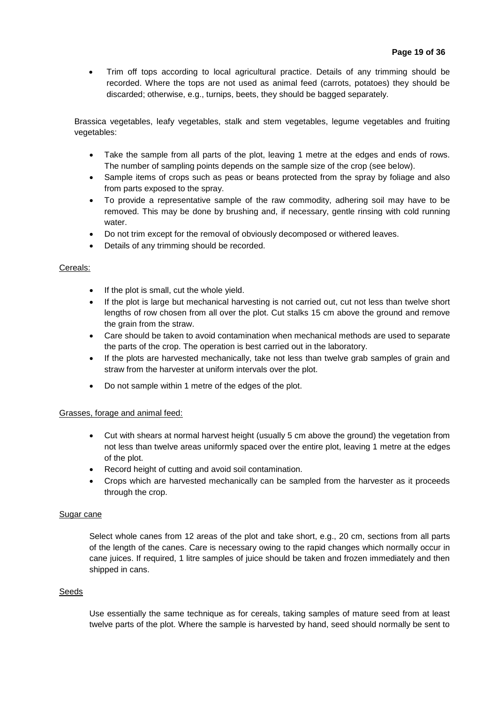Trim off tops according to local agricultural practice. Details of any trimming should be recorded. Where the tops are not used as animal feed (carrots, potatoes) they should be discarded; otherwise, e.g., turnips, beets, they should be bagged separately.

Brassica vegetables, leafy vegetables, stalk and stem vegetables, legume vegetables and fruiting vegetables:

- Take the sample from all parts of the plot, leaving 1 metre at the edges and ends of rows. The number of sampling points depends on the sample size of the crop (see below).
- Sample items of crops such as peas or beans protected from the spray by foliage and also from parts exposed to the spray.
- To provide a representative sample of the raw commodity, adhering soil may have to be removed. This may be done by brushing and, if necessary, gentle rinsing with cold running water.
- Do not trim except for the removal of obviously decomposed or withered leaves.
- Details of any trimming should be recorded.

#### Cereals:

- If the plot is small, cut the whole yield.
- If the plot is large but mechanical harvesting is not carried out, cut not less than twelve short lengths of row chosen from all over the plot. Cut stalks 15 cm above the ground and remove the grain from the straw.
- Care should be taken to avoid contamination when mechanical methods are used to separate the parts of the crop. The operation is best carried out in the laboratory.
- If the plots are harvested mechanically, take not less than twelve grab samples of grain and straw from the harvester at uniform intervals over the plot.
- Do not sample within 1 metre of the edges of the plot.

#### Grasses, forage and animal feed:

- Cut with shears at normal harvest height (usually 5 cm above the ground) the vegetation from not less than twelve areas uniformly spaced over the entire plot, leaving 1 metre at the edges of the plot.
- Record height of cutting and avoid soil contamination.
- Crops which are harvested mechanically can be sampled from the harvester as it proceeds through the crop.

#### Sugar cane

Select whole canes from 12 areas of the plot and take short, e.g., 20 cm, sections from all parts of the length of the canes. Care is necessary owing to the rapid changes which normally occur in cane juices. If required, 1 litre samples of juice should be taken and frozen immediately and then shipped in cans.

#### Seeds

Use essentially the same technique as for cereals, taking samples of mature seed from at least twelve parts of the plot. Where the sample is harvested by hand, seed should normally be sent to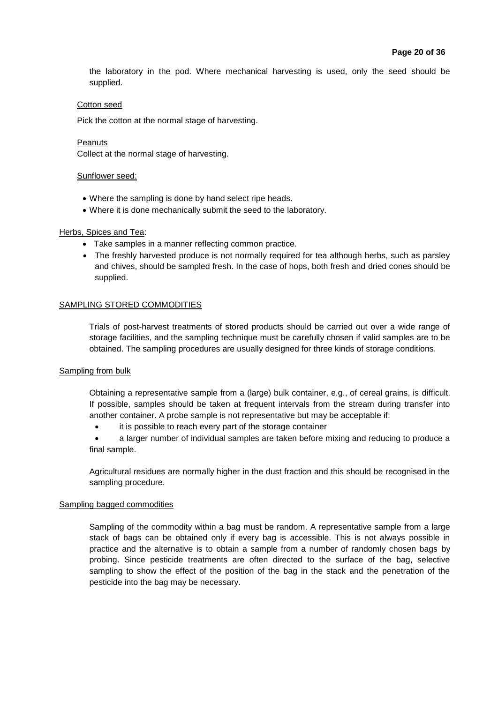the laboratory in the pod. Where mechanical harvesting is used, only the seed should be supplied.

#### Cotton seed

Pick the cotton at the normal stage of harvesting.

#### **Peanuts**

Collect at the normal stage of harvesting.

#### Sunflower seed:

- Where the sampling is done by hand select ripe heads.
- Where it is done mechanically submit the seed to the laboratory.

#### Herbs, Spices and Tea:

- Take samples in a manner reflecting common practice.
- The freshly harvested produce is not normally required for tea although herbs, such as parsley and chives, should be sampled fresh. In the case of hops, both fresh and dried cones should be supplied.

#### SAMPLING STORED COMMODITIES

Trials of post-harvest treatments of stored products should be carried out over a wide range of storage facilities, and the sampling technique must be carefully chosen if valid samples are to be obtained. The sampling procedures are usually designed for three kinds of storage conditions.

#### Sampling from bulk

Obtaining a representative sample from a (large) bulk container, e.g., of cereal grains, is difficult. If possible, samples should be taken at frequent intervals from the stream during transfer into another container. A probe sample is not representative but may be acceptable if:

it is possible to reach every part of the storage container

 a larger number of individual samples are taken before mixing and reducing to produce a final sample.

Agricultural residues are normally higher in the dust fraction and this should be recognised in the sampling procedure.

#### Sampling bagged commodities

Sampling of the commodity within a bag must be random. A representative sample from a large stack of bags can be obtained only if every bag is accessible. This is not always possible in practice and the alternative is to obtain a sample from a number of randomly chosen bags by probing. Since pesticide treatments are often directed to the surface of the bag, selective sampling to show the effect of the position of the bag in the stack and the penetration of the pesticide into the bag may be necessary.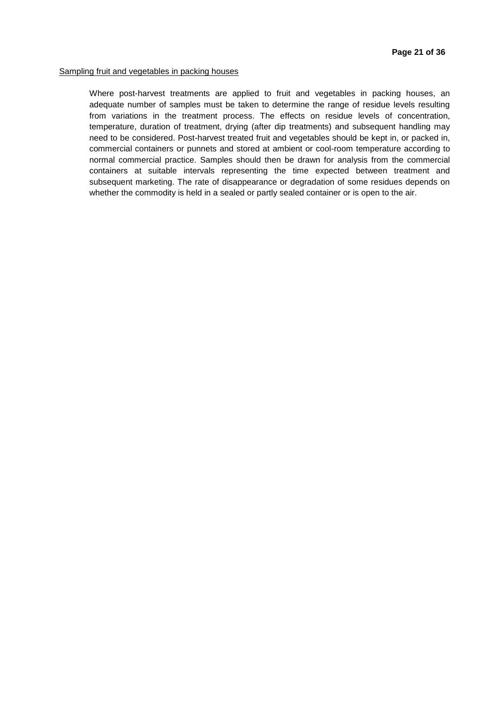#### Sampling fruit and vegetables in packing houses

Where post-harvest treatments are applied to fruit and vegetables in packing houses, an adequate number of samples must be taken to determine the range of residue levels resulting from variations in the treatment process. The effects on residue levels of concentration, temperature, duration of treatment, drying (after dip treatments) and subsequent handling may need to be considered. Post-harvest treated fruit and vegetables should be kept in, or packed in, commercial containers or punnets and stored at ambient or cool-room temperature according to normal commercial practice. Samples should then be drawn for analysis from the commercial containers at suitable intervals representing the time expected between treatment and subsequent marketing. The rate of disappearance or degradation of some residues depends on whether the commodity is held in a sealed or partly sealed container or is open to the air.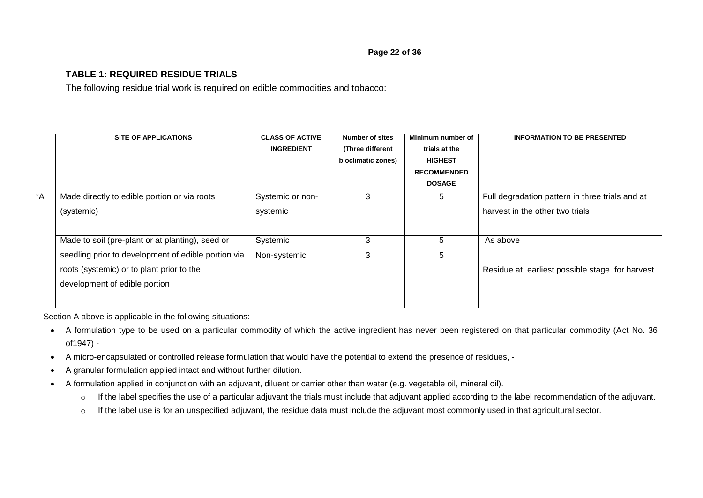#### **TABLE 1: REQUIRED RESIDUE TRIALS**

The following residue trial work is required on edible commodities and tobacco:

|       | <b>SITE OF APPLICATIONS</b>                         | <b>CLASS OF ACTIVE</b> | <b>Number of sites</b> | Minimum number of  | <b>INFORMATION TO BE PRESENTED</b>              |
|-------|-----------------------------------------------------|------------------------|------------------------|--------------------|-------------------------------------------------|
|       |                                                     | <b>INGREDIENT</b>      | (Three different       | trials at the      |                                                 |
|       |                                                     |                        | bioclimatic zones)     | <b>HIGHEST</b>     |                                                 |
|       |                                                     |                        |                        | <b>RECOMMENDED</b> |                                                 |
|       |                                                     |                        |                        | <b>DOSAGE</b>      |                                                 |
| $^*A$ | Made directly to edible portion or via roots        | Systemic or non-       | 3                      | 5                  | Full degradation pattern in three trials and at |
|       | (systemic)                                          | systemic               |                        |                    | harvest in the other two trials                 |
|       |                                                     |                        |                        |                    |                                                 |
|       | Made to soil (pre-plant or at planting), seed or    | Systemic               | 3                      | 5                  | As above                                        |
|       | seedling prior to development of edible portion via | Non-systemic           | 3                      | 5                  |                                                 |
|       | roots (systemic) or to plant prior to the           |                        |                        |                    | Residue at earliest possible stage for harvest  |
|       | development of edible portion                       |                        |                        |                    |                                                 |
|       |                                                     |                        |                        |                    |                                                 |
|       |                                                     |                        |                        |                    |                                                 |

Section A above is applicable in the following situations:

- A formulation type to be used on a particular commodity of which the active ingredient has never been registered on that particular commodity (Act No. 36 of1947) -
- A micro-encapsulated or controlled release formulation that would have the potential to extend the presence of residues, -
- A granular formulation applied intact and without further dilution.
- A formulation applied in conjunction with an adjuvant, diluent or carrier other than water (e.g. vegetable oil, mineral oil).
	- o If the label specifies the use of a particular adjuvant the trials must include that adjuvant applied according to the label recommendation of the adjuvant.
	- o If the label use is for an unspecified adjuvant, the residue data must include the adjuvant most commonly used in that agricultural sector.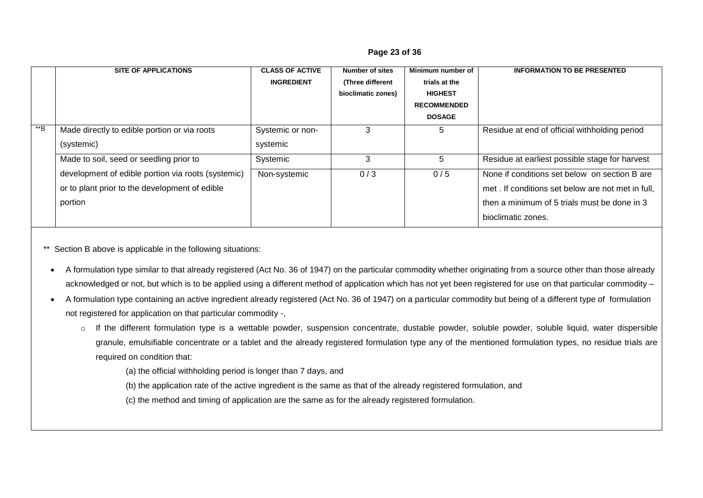|       | <b>SITE OF APPLICATIONS</b>                        | <b>CLASS OF ACTIVE</b> | <b>Number of sites</b> | Minimum number of  | <b>INFORMATION TO BE PRESENTED</b>                |
|-------|----------------------------------------------------|------------------------|------------------------|--------------------|---------------------------------------------------|
|       |                                                    | <b>INGREDIENT</b>      | (Three different       | trials at the      |                                                   |
|       |                                                    |                        | bioclimatic zones)     | <b>HIGHEST</b>     |                                                   |
|       |                                                    |                        |                        | <b>RECOMMENDED</b> |                                                   |
|       |                                                    |                        |                        | <b>DOSAGE</b>      |                                                   |
| $**B$ | Made directly to edible portion or via roots       | Systemic or non-       | 3                      | 5                  | Residue at end of official withholding period     |
|       | (systemic)                                         | systemic               |                        |                    |                                                   |
|       | Made to soil, seed or seedling prior to            | Systemic               | 3                      | 5                  | Residue at earliest possible stage for harvest    |
|       | development of edible portion via roots (systemic) | Non-systemic           | 0/3                    | 0/5                | None if conditions set below on section B are     |
|       | or to plant prior to the development of edible     |                        |                        |                    | met. If conditions set below are not met in full. |
|       | portion                                            |                        |                        |                    | then a minimum of 5 trials must be done in 3      |
|       |                                                    |                        |                        |                    | bioclimatic zones.                                |

#### **Page 23 of 36**

\*\* Section B above is applicable in the following situations:

 A formulation type similar to that already registered (Act No. 36 of 1947) on the particular commodity whether originating from a source other than those already acknowledged or not, but which is to be applied using a different method of application which has not yet been registered for use on that particular commodity –

 A formulation type containing an active ingredient already registered (Act No. 36 of 1947) on a particular commodity but being of a different type of formulation not registered for application on that particular commodity -,

o If the different formulation type is a wettable powder, suspension concentrate, dustable powder, soluble powder, soluble liquid, water dispersible granule, emulsifiable concentrate or a tablet and the already registered formulation type any of the mentioned formulation types, no residue trials are required on condition that:

(a) the official withholding period is longer than 7 days, and

- (b) the application rate of the active ingredient is the same as that of the already registered formulation, and
- (c) the method and timing of application are the same as for the already registered formulation.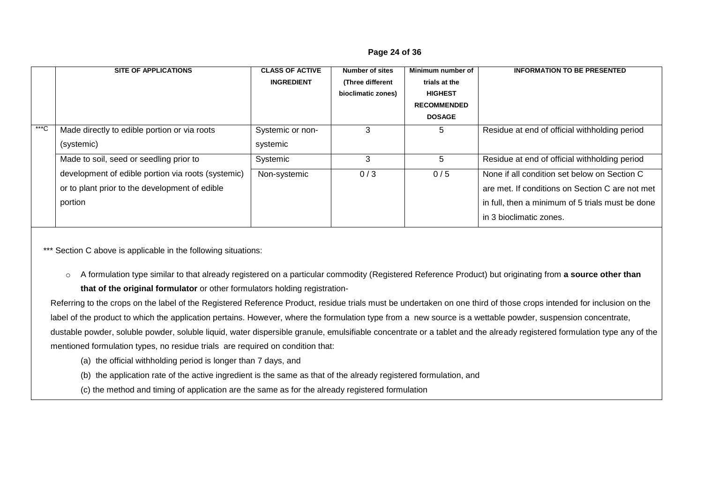#### **Page 24 of 36**

|        | <b>SITE OF APPLICATIONS</b>                        | <b>CLASS OF ACTIVE</b> | <b>Number of sites</b> | Minimum number of  | <b>INFORMATION TO BE PRESENTED</b>               |
|--------|----------------------------------------------------|------------------------|------------------------|--------------------|--------------------------------------------------|
|        |                                                    | <b>INGREDIENT</b>      | (Three different       | trials at the      |                                                  |
|        |                                                    |                        | bioclimatic zones)     | <b>HIGHEST</b>     |                                                  |
|        |                                                    |                        |                        | <b>RECOMMENDED</b> |                                                  |
|        |                                                    |                        |                        | <b>DOSAGE</b>      |                                                  |
| $***C$ | Made directly to edible portion or via roots       | Systemic or non-       | 3                      | 5                  | Residue at end of official withholding period    |
|        | (systemic)                                         | systemic               |                        |                    |                                                  |
|        | Made to soil, seed or seedling prior to            | Systemic               | 3                      | 5                  | Residue at end of official withholding period    |
|        | development of edible portion via roots (systemic) | Non-systemic           | 0/3                    | 0/5                | None if all condition set below on Section C     |
|        | or to plant prior to the development of edible     |                        |                        |                    | are met. If conditions on Section C are not met  |
|        | portion                                            |                        |                        |                    | in full, then a minimum of 5 trials must be done |
|        |                                                    |                        |                        |                    | in 3 bioclimatic zones.                          |

\*\*\* Section C above is applicable in the following situations:

o A formulation type similar to that already registered on a particular commodity (Registered Reference Product) but originating from **a source other than that of the original formulator** or other formulators holding registration-

Referring to the crops on the label of the Registered Reference Product, residue trials must be undertaken on one third of those crops intended for inclusion on the label of the product to which the application pertains. However, where the formulation type from a new source is a wettable powder, suspension concentrate, dustable powder, soluble powder, soluble liquid, water dispersible granule, emulsifiable concentrate or a tablet and the already registered formulation type any of the mentioned formulation types, no residue trials are required on condition that:

- (a) the official withholding period is longer than 7 days, and
- (b) the application rate of the active ingredient is the same as that of the already registered formulation, and
- (c) the method and timing of application are the same as for the already registered formulation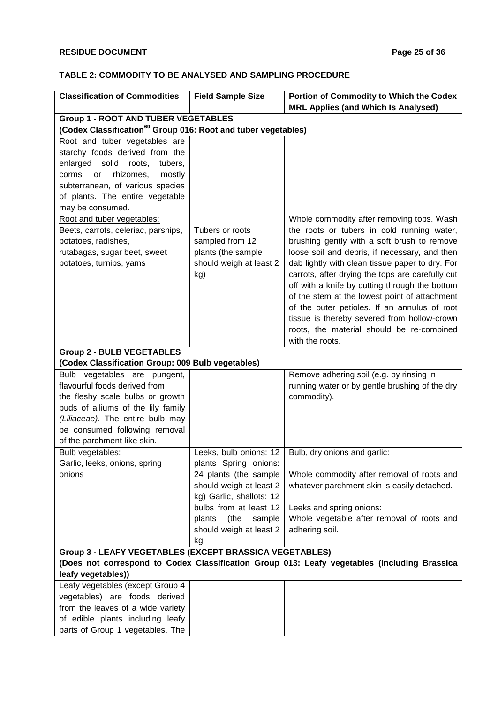#### **TABLE 2: COMMODITY TO BE ANALYSED AND SAMPLING PROCEDURE**

| <b>Classification of Commodities</b>                                                  | <b>Field Sample Size</b> | Portion of Commodity to Which the Codex                                                      |  |  |  |  |
|---------------------------------------------------------------------------------------|--------------------------|----------------------------------------------------------------------------------------------|--|--|--|--|
|                                                                                       |                          | <b>MRL Applies (and Which Is Analysed)</b>                                                   |  |  |  |  |
| <b>Group 1 - ROOT AND TUBER VEGETABLES</b>                                            |                          |                                                                                              |  |  |  |  |
| (Codex Classification <sup>69</sup> Group 016: Root and tuber vegetables)             |                          |                                                                                              |  |  |  |  |
| Root and tuber vegetables are                                                         |                          |                                                                                              |  |  |  |  |
| starchy foods derived from the                                                        |                          |                                                                                              |  |  |  |  |
| enlarged<br>solid<br>roots,<br>tubers,                                                |                          |                                                                                              |  |  |  |  |
| rhizomes,<br>mostly<br>corms<br><b>or</b>                                             |                          |                                                                                              |  |  |  |  |
| subterranean, of various species                                                      |                          |                                                                                              |  |  |  |  |
| of plants. The entire vegetable                                                       |                          |                                                                                              |  |  |  |  |
| may be consumed.                                                                      |                          |                                                                                              |  |  |  |  |
| Root and tuber vegetables:                                                            |                          | Whole commodity after removing tops. Wash                                                    |  |  |  |  |
| Beets, carrots, celeriac, parsnips,                                                   | Tubers or roots          | the roots or tubers in cold running water,                                                   |  |  |  |  |
| potatoes, radishes,                                                                   | sampled from 12          | brushing gently with a soft brush to remove                                                  |  |  |  |  |
| rutabagas, sugar beet, sweet                                                          | plants (the sample       | loose soil and debris, if necessary, and then                                                |  |  |  |  |
| potatoes, turnips, yams                                                               | should weigh at least 2  | dab lightly with clean tissue paper to dry. For                                              |  |  |  |  |
|                                                                                       | kg)                      | carrots, after drying the tops are carefully cut                                             |  |  |  |  |
|                                                                                       |                          | off with a knife by cutting through the bottom                                               |  |  |  |  |
|                                                                                       |                          | of the stem at the lowest point of attachment                                                |  |  |  |  |
|                                                                                       |                          | of the outer petioles. If an annulus of root                                                 |  |  |  |  |
|                                                                                       |                          | tissue is thereby severed from hollow-crown                                                  |  |  |  |  |
|                                                                                       |                          | roots, the material should be re-combined                                                    |  |  |  |  |
|                                                                                       |                          | with the roots.                                                                              |  |  |  |  |
| <b>Group 2 - BULB VEGETABLES</b><br>(Codex Classification Group: 009 Bulb vegetables) |                          |                                                                                              |  |  |  |  |
|                                                                                       |                          |                                                                                              |  |  |  |  |
| Bulb vegetables are pungent,<br>flavourful foods derived from                         |                          | Remove adhering soil (e.g. by rinsing in                                                     |  |  |  |  |
| the fleshy scale bulbs or growth                                                      |                          | running water or by gentle brushing of the dry<br>commodity).                                |  |  |  |  |
| buds of alliums of the lily family                                                    |                          |                                                                                              |  |  |  |  |
| (Liliaceae). The entire bulb may                                                      |                          |                                                                                              |  |  |  |  |
| be consumed following removal                                                         |                          |                                                                                              |  |  |  |  |
| of the parchment-like skin.                                                           |                          |                                                                                              |  |  |  |  |
| <b>Bulb vegetables:</b>                                                               | Leeks, bulb onions: 12   | Bulb, dry onions and garlic:                                                                 |  |  |  |  |
| Garlic, leeks, onions, spring                                                         | plants Spring onions:    |                                                                                              |  |  |  |  |
| onions                                                                                | 24 plants (the sample    | Whole commodity after removal of roots and                                                   |  |  |  |  |
|                                                                                       | should weigh at least 2  | whatever parchment skin is easily detached.                                                  |  |  |  |  |
|                                                                                       | kg) Garlic, shallots: 12 |                                                                                              |  |  |  |  |
|                                                                                       | bulbs from at least 12   | Leeks and spring onions:                                                                     |  |  |  |  |
|                                                                                       | plants<br>(the<br>sample | Whole vegetable after removal of roots and                                                   |  |  |  |  |
|                                                                                       | should weigh at least 2  | adhering soil.                                                                               |  |  |  |  |
|                                                                                       | kg                       |                                                                                              |  |  |  |  |
| <b>Group 3 - LEAFY VEGETABLES (EXCEPT BRASSICA VEGETABLES)</b>                        |                          |                                                                                              |  |  |  |  |
| leafy vegetables))                                                                    |                          | (Does not correspond to Codex Classification Group 013: Leafy vegetables (including Brassica |  |  |  |  |
| Leafy vegetables (except Group 4                                                      |                          |                                                                                              |  |  |  |  |
| vegetables) are foods derived                                                         |                          |                                                                                              |  |  |  |  |
| from the leaves of a wide variety                                                     |                          |                                                                                              |  |  |  |  |
| of edible plants including leafy                                                      |                          |                                                                                              |  |  |  |  |
| parts of Group 1 vegetables. The                                                      |                          |                                                                                              |  |  |  |  |
|                                                                                       |                          |                                                                                              |  |  |  |  |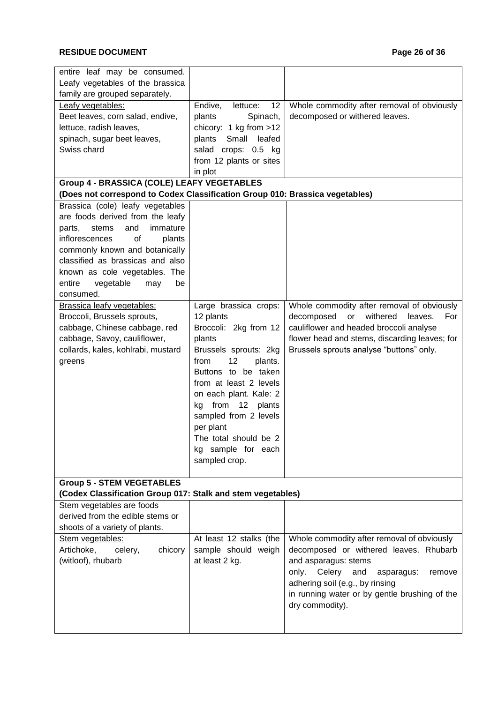### **RESIDUE DOCUMENT Page 26 of 36**

| Leafy vegetables of the brassica<br>family are grouped separately.<br>12<br>Whole commodity after removal of obviously<br>Leafy vegetables:<br>Endive,<br>lettuce:<br>Spinach,<br>decomposed or withered leaves.<br>Beet leaves, corn salad, endive,<br>plants<br>lettuce, radish leaves,<br>chicory: 1 kg from >12<br>spinach, sugar beet leaves,<br>Small<br>leafed<br>plants<br>Swiss chard<br>salad crops: 0.5 kg<br>from 12 plants or sites<br>in plot<br><b>Group 4 - BRASSICA (COLE) LEAFY VEGETABLES</b><br>(Does not correspond to Codex Classification Group 010: Brassica vegetables)<br>Brassica (cole) leafy vegetables<br>are foods derived from the leafy<br>and<br>immature<br>parts,<br>stems<br>of<br>inflorescences<br>plants<br>commonly known and botanically<br>classified as brassicas and also<br>known as cole vegetables. The<br>entire<br>vegetable<br>be<br>may<br>consumed.<br>Whole commodity after removal of obviously<br>Brassica leafy vegetables:<br>Large brassica crops:<br>withered<br>For<br>Broccoli, Brussels sprouts,<br>12 plants<br>decomposed<br>leaves.<br>or<br>Broccoli: 2kg from 12<br>cauliflower and headed broccoli analyse<br>cabbage, Chinese cabbage, red<br>cabbage, Savoy, cauliflower,<br>plants<br>flower head and stems, discarding leaves; for<br>collards, kales, kohlrabi, mustard<br>Brussels sprouts analyse "buttons" only.<br>Brussels sprouts: 2kg<br>12<br>plants.<br>from<br>greens<br>Buttons to be taken<br>from at least 2 levels<br>on each plant. Kale: 2<br>from 12 plants<br>kg<br>sampled from 2 levels<br>per plant<br>The total should be 2<br>kg sample for each<br>sampled crop.<br><b>Group 5 - STEM VEGETABLES</b><br>(Codex Classification Group 017: Stalk and stem vegetables)<br>Stem vegetables are foods<br>derived from the edible stems or<br>shoots of a variety of plants.<br>Whole commodity after removal of obviously<br>Stem vegetables:<br>At least 12 stalks (the<br>decomposed or withered leaves. Rhubarb<br>Artichoke,<br>sample should weigh<br>celery,<br>chicory<br>at least 2 kg.<br>(witloof), rhubarb<br>and asparagus: stems<br>Celery<br>only.<br>and<br>asparagus:<br>remove<br>adhering soil (e.g., by rinsing<br>in running water or by gentle brushing of the<br>dry commodity). | entire leaf may be consumed. |  |
|-----------------------------------------------------------------------------------------------------------------------------------------------------------------------------------------------------------------------------------------------------------------------------------------------------------------------------------------------------------------------------------------------------------------------------------------------------------------------------------------------------------------------------------------------------------------------------------------------------------------------------------------------------------------------------------------------------------------------------------------------------------------------------------------------------------------------------------------------------------------------------------------------------------------------------------------------------------------------------------------------------------------------------------------------------------------------------------------------------------------------------------------------------------------------------------------------------------------------------------------------------------------------------------------------------------------------------------------------------------------------------------------------------------------------------------------------------------------------------------------------------------------------------------------------------------------------------------------------------------------------------------------------------------------------------------------------------------------------------------------------------------------------------------------------------------------------------------------------------------------------------------------------------------------------------------------------------------------------------------------------------------------------------------------------------------------------------------------------------------------------------------------------------------------------------------------------------------------------------------------------------------------------------------------------------|------------------------------|--|
|                                                                                                                                                                                                                                                                                                                                                                                                                                                                                                                                                                                                                                                                                                                                                                                                                                                                                                                                                                                                                                                                                                                                                                                                                                                                                                                                                                                                                                                                                                                                                                                                                                                                                                                                                                                                                                                                                                                                                                                                                                                                                                                                                                                                                                                                                                     |                              |  |
|                                                                                                                                                                                                                                                                                                                                                                                                                                                                                                                                                                                                                                                                                                                                                                                                                                                                                                                                                                                                                                                                                                                                                                                                                                                                                                                                                                                                                                                                                                                                                                                                                                                                                                                                                                                                                                                                                                                                                                                                                                                                                                                                                                                                                                                                                                     |                              |  |
|                                                                                                                                                                                                                                                                                                                                                                                                                                                                                                                                                                                                                                                                                                                                                                                                                                                                                                                                                                                                                                                                                                                                                                                                                                                                                                                                                                                                                                                                                                                                                                                                                                                                                                                                                                                                                                                                                                                                                                                                                                                                                                                                                                                                                                                                                                     |                              |  |
|                                                                                                                                                                                                                                                                                                                                                                                                                                                                                                                                                                                                                                                                                                                                                                                                                                                                                                                                                                                                                                                                                                                                                                                                                                                                                                                                                                                                                                                                                                                                                                                                                                                                                                                                                                                                                                                                                                                                                                                                                                                                                                                                                                                                                                                                                                     |                              |  |
|                                                                                                                                                                                                                                                                                                                                                                                                                                                                                                                                                                                                                                                                                                                                                                                                                                                                                                                                                                                                                                                                                                                                                                                                                                                                                                                                                                                                                                                                                                                                                                                                                                                                                                                                                                                                                                                                                                                                                                                                                                                                                                                                                                                                                                                                                                     |                              |  |
|                                                                                                                                                                                                                                                                                                                                                                                                                                                                                                                                                                                                                                                                                                                                                                                                                                                                                                                                                                                                                                                                                                                                                                                                                                                                                                                                                                                                                                                                                                                                                                                                                                                                                                                                                                                                                                                                                                                                                                                                                                                                                                                                                                                                                                                                                                     |                              |  |
|                                                                                                                                                                                                                                                                                                                                                                                                                                                                                                                                                                                                                                                                                                                                                                                                                                                                                                                                                                                                                                                                                                                                                                                                                                                                                                                                                                                                                                                                                                                                                                                                                                                                                                                                                                                                                                                                                                                                                                                                                                                                                                                                                                                                                                                                                                     |                              |  |
|                                                                                                                                                                                                                                                                                                                                                                                                                                                                                                                                                                                                                                                                                                                                                                                                                                                                                                                                                                                                                                                                                                                                                                                                                                                                                                                                                                                                                                                                                                                                                                                                                                                                                                                                                                                                                                                                                                                                                                                                                                                                                                                                                                                                                                                                                                     |                              |  |
|                                                                                                                                                                                                                                                                                                                                                                                                                                                                                                                                                                                                                                                                                                                                                                                                                                                                                                                                                                                                                                                                                                                                                                                                                                                                                                                                                                                                                                                                                                                                                                                                                                                                                                                                                                                                                                                                                                                                                                                                                                                                                                                                                                                                                                                                                                     |                              |  |
|                                                                                                                                                                                                                                                                                                                                                                                                                                                                                                                                                                                                                                                                                                                                                                                                                                                                                                                                                                                                                                                                                                                                                                                                                                                                                                                                                                                                                                                                                                                                                                                                                                                                                                                                                                                                                                                                                                                                                                                                                                                                                                                                                                                                                                                                                                     |                              |  |
|                                                                                                                                                                                                                                                                                                                                                                                                                                                                                                                                                                                                                                                                                                                                                                                                                                                                                                                                                                                                                                                                                                                                                                                                                                                                                                                                                                                                                                                                                                                                                                                                                                                                                                                                                                                                                                                                                                                                                                                                                                                                                                                                                                                                                                                                                                     |                              |  |
|                                                                                                                                                                                                                                                                                                                                                                                                                                                                                                                                                                                                                                                                                                                                                                                                                                                                                                                                                                                                                                                                                                                                                                                                                                                                                                                                                                                                                                                                                                                                                                                                                                                                                                                                                                                                                                                                                                                                                                                                                                                                                                                                                                                                                                                                                                     |                              |  |
|                                                                                                                                                                                                                                                                                                                                                                                                                                                                                                                                                                                                                                                                                                                                                                                                                                                                                                                                                                                                                                                                                                                                                                                                                                                                                                                                                                                                                                                                                                                                                                                                                                                                                                                                                                                                                                                                                                                                                                                                                                                                                                                                                                                                                                                                                                     |                              |  |
|                                                                                                                                                                                                                                                                                                                                                                                                                                                                                                                                                                                                                                                                                                                                                                                                                                                                                                                                                                                                                                                                                                                                                                                                                                                                                                                                                                                                                                                                                                                                                                                                                                                                                                                                                                                                                                                                                                                                                                                                                                                                                                                                                                                                                                                                                                     |                              |  |
|                                                                                                                                                                                                                                                                                                                                                                                                                                                                                                                                                                                                                                                                                                                                                                                                                                                                                                                                                                                                                                                                                                                                                                                                                                                                                                                                                                                                                                                                                                                                                                                                                                                                                                                                                                                                                                                                                                                                                                                                                                                                                                                                                                                                                                                                                                     |                              |  |
|                                                                                                                                                                                                                                                                                                                                                                                                                                                                                                                                                                                                                                                                                                                                                                                                                                                                                                                                                                                                                                                                                                                                                                                                                                                                                                                                                                                                                                                                                                                                                                                                                                                                                                                                                                                                                                                                                                                                                                                                                                                                                                                                                                                                                                                                                                     |                              |  |
|                                                                                                                                                                                                                                                                                                                                                                                                                                                                                                                                                                                                                                                                                                                                                                                                                                                                                                                                                                                                                                                                                                                                                                                                                                                                                                                                                                                                                                                                                                                                                                                                                                                                                                                                                                                                                                                                                                                                                                                                                                                                                                                                                                                                                                                                                                     |                              |  |
|                                                                                                                                                                                                                                                                                                                                                                                                                                                                                                                                                                                                                                                                                                                                                                                                                                                                                                                                                                                                                                                                                                                                                                                                                                                                                                                                                                                                                                                                                                                                                                                                                                                                                                                                                                                                                                                                                                                                                                                                                                                                                                                                                                                                                                                                                                     |                              |  |
|                                                                                                                                                                                                                                                                                                                                                                                                                                                                                                                                                                                                                                                                                                                                                                                                                                                                                                                                                                                                                                                                                                                                                                                                                                                                                                                                                                                                                                                                                                                                                                                                                                                                                                                                                                                                                                                                                                                                                                                                                                                                                                                                                                                                                                                                                                     |                              |  |
|                                                                                                                                                                                                                                                                                                                                                                                                                                                                                                                                                                                                                                                                                                                                                                                                                                                                                                                                                                                                                                                                                                                                                                                                                                                                                                                                                                                                                                                                                                                                                                                                                                                                                                                                                                                                                                                                                                                                                                                                                                                                                                                                                                                                                                                                                                     |                              |  |
|                                                                                                                                                                                                                                                                                                                                                                                                                                                                                                                                                                                                                                                                                                                                                                                                                                                                                                                                                                                                                                                                                                                                                                                                                                                                                                                                                                                                                                                                                                                                                                                                                                                                                                                                                                                                                                                                                                                                                                                                                                                                                                                                                                                                                                                                                                     |                              |  |
|                                                                                                                                                                                                                                                                                                                                                                                                                                                                                                                                                                                                                                                                                                                                                                                                                                                                                                                                                                                                                                                                                                                                                                                                                                                                                                                                                                                                                                                                                                                                                                                                                                                                                                                                                                                                                                                                                                                                                                                                                                                                                                                                                                                                                                                                                                     |                              |  |
|                                                                                                                                                                                                                                                                                                                                                                                                                                                                                                                                                                                                                                                                                                                                                                                                                                                                                                                                                                                                                                                                                                                                                                                                                                                                                                                                                                                                                                                                                                                                                                                                                                                                                                                                                                                                                                                                                                                                                                                                                                                                                                                                                                                                                                                                                                     |                              |  |
|                                                                                                                                                                                                                                                                                                                                                                                                                                                                                                                                                                                                                                                                                                                                                                                                                                                                                                                                                                                                                                                                                                                                                                                                                                                                                                                                                                                                                                                                                                                                                                                                                                                                                                                                                                                                                                                                                                                                                                                                                                                                                                                                                                                                                                                                                                     |                              |  |
|                                                                                                                                                                                                                                                                                                                                                                                                                                                                                                                                                                                                                                                                                                                                                                                                                                                                                                                                                                                                                                                                                                                                                                                                                                                                                                                                                                                                                                                                                                                                                                                                                                                                                                                                                                                                                                                                                                                                                                                                                                                                                                                                                                                                                                                                                                     |                              |  |
|                                                                                                                                                                                                                                                                                                                                                                                                                                                                                                                                                                                                                                                                                                                                                                                                                                                                                                                                                                                                                                                                                                                                                                                                                                                                                                                                                                                                                                                                                                                                                                                                                                                                                                                                                                                                                                                                                                                                                                                                                                                                                                                                                                                                                                                                                                     |                              |  |
|                                                                                                                                                                                                                                                                                                                                                                                                                                                                                                                                                                                                                                                                                                                                                                                                                                                                                                                                                                                                                                                                                                                                                                                                                                                                                                                                                                                                                                                                                                                                                                                                                                                                                                                                                                                                                                                                                                                                                                                                                                                                                                                                                                                                                                                                                                     |                              |  |
|                                                                                                                                                                                                                                                                                                                                                                                                                                                                                                                                                                                                                                                                                                                                                                                                                                                                                                                                                                                                                                                                                                                                                                                                                                                                                                                                                                                                                                                                                                                                                                                                                                                                                                                                                                                                                                                                                                                                                                                                                                                                                                                                                                                                                                                                                                     |                              |  |
|                                                                                                                                                                                                                                                                                                                                                                                                                                                                                                                                                                                                                                                                                                                                                                                                                                                                                                                                                                                                                                                                                                                                                                                                                                                                                                                                                                                                                                                                                                                                                                                                                                                                                                                                                                                                                                                                                                                                                                                                                                                                                                                                                                                                                                                                                                     |                              |  |
|                                                                                                                                                                                                                                                                                                                                                                                                                                                                                                                                                                                                                                                                                                                                                                                                                                                                                                                                                                                                                                                                                                                                                                                                                                                                                                                                                                                                                                                                                                                                                                                                                                                                                                                                                                                                                                                                                                                                                                                                                                                                                                                                                                                                                                                                                                     |                              |  |
|                                                                                                                                                                                                                                                                                                                                                                                                                                                                                                                                                                                                                                                                                                                                                                                                                                                                                                                                                                                                                                                                                                                                                                                                                                                                                                                                                                                                                                                                                                                                                                                                                                                                                                                                                                                                                                                                                                                                                                                                                                                                                                                                                                                                                                                                                                     |                              |  |
|                                                                                                                                                                                                                                                                                                                                                                                                                                                                                                                                                                                                                                                                                                                                                                                                                                                                                                                                                                                                                                                                                                                                                                                                                                                                                                                                                                                                                                                                                                                                                                                                                                                                                                                                                                                                                                                                                                                                                                                                                                                                                                                                                                                                                                                                                                     |                              |  |
|                                                                                                                                                                                                                                                                                                                                                                                                                                                                                                                                                                                                                                                                                                                                                                                                                                                                                                                                                                                                                                                                                                                                                                                                                                                                                                                                                                                                                                                                                                                                                                                                                                                                                                                                                                                                                                                                                                                                                                                                                                                                                                                                                                                                                                                                                                     |                              |  |
|                                                                                                                                                                                                                                                                                                                                                                                                                                                                                                                                                                                                                                                                                                                                                                                                                                                                                                                                                                                                                                                                                                                                                                                                                                                                                                                                                                                                                                                                                                                                                                                                                                                                                                                                                                                                                                                                                                                                                                                                                                                                                                                                                                                                                                                                                                     |                              |  |
|                                                                                                                                                                                                                                                                                                                                                                                                                                                                                                                                                                                                                                                                                                                                                                                                                                                                                                                                                                                                                                                                                                                                                                                                                                                                                                                                                                                                                                                                                                                                                                                                                                                                                                                                                                                                                                                                                                                                                                                                                                                                                                                                                                                                                                                                                                     |                              |  |
|                                                                                                                                                                                                                                                                                                                                                                                                                                                                                                                                                                                                                                                                                                                                                                                                                                                                                                                                                                                                                                                                                                                                                                                                                                                                                                                                                                                                                                                                                                                                                                                                                                                                                                                                                                                                                                                                                                                                                                                                                                                                                                                                                                                                                                                                                                     |                              |  |
|                                                                                                                                                                                                                                                                                                                                                                                                                                                                                                                                                                                                                                                                                                                                                                                                                                                                                                                                                                                                                                                                                                                                                                                                                                                                                                                                                                                                                                                                                                                                                                                                                                                                                                                                                                                                                                                                                                                                                                                                                                                                                                                                                                                                                                                                                                     |                              |  |
|                                                                                                                                                                                                                                                                                                                                                                                                                                                                                                                                                                                                                                                                                                                                                                                                                                                                                                                                                                                                                                                                                                                                                                                                                                                                                                                                                                                                                                                                                                                                                                                                                                                                                                                                                                                                                                                                                                                                                                                                                                                                                                                                                                                                                                                                                                     |                              |  |
|                                                                                                                                                                                                                                                                                                                                                                                                                                                                                                                                                                                                                                                                                                                                                                                                                                                                                                                                                                                                                                                                                                                                                                                                                                                                                                                                                                                                                                                                                                                                                                                                                                                                                                                                                                                                                                                                                                                                                                                                                                                                                                                                                                                                                                                                                                     |                              |  |
|                                                                                                                                                                                                                                                                                                                                                                                                                                                                                                                                                                                                                                                                                                                                                                                                                                                                                                                                                                                                                                                                                                                                                                                                                                                                                                                                                                                                                                                                                                                                                                                                                                                                                                                                                                                                                                                                                                                                                                                                                                                                                                                                                                                                                                                                                                     |                              |  |
|                                                                                                                                                                                                                                                                                                                                                                                                                                                                                                                                                                                                                                                                                                                                                                                                                                                                                                                                                                                                                                                                                                                                                                                                                                                                                                                                                                                                                                                                                                                                                                                                                                                                                                                                                                                                                                                                                                                                                                                                                                                                                                                                                                                                                                                                                                     |                              |  |
|                                                                                                                                                                                                                                                                                                                                                                                                                                                                                                                                                                                                                                                                                                                                                                                                                                                                                                                                                                                                                                                                                                                                                                                                                                                                                                                                                                                                                                                                                                                                                                                                                                                                                                                                                                                                                                                                                                                                                                                                                                                                                                                                                                                                                                                                                                     |                              |  |
|                                                                                                                                                                                                                                                                                                                                                                                                                                                                                                                                                                                                                                                                                                                                                                                                                                                                                                                                                                                                                                                                                                                                                                                                                                                                                                                                                                                                                                                                                                                                                                                                                                                                                                                                                                                                                                                                                                                                                                                                                                                                                                                                                                                                                                                                                                     |                              |  |
|                                                                                                                                                                                                                                                                                                                                                                                                                                                                                                                                                                                                                                                                                                                                                                                                                                                                                                                                                                                                                                                                                                                                                                                                                                                                                                                                                                                                                                                                                                                                                                                                                                                                                                                                                                                                                                                                                                                                                                                                                                                                                                                                                                                                                                                                                                     |                              |  |
|                                                                                                                                                                                                                                                                                                                                                                                                                                                                                                                                                                                                                                                                                                                                                                                                                                                                                                                                                                                                                                                                                                                                                                                                                                                                                                                                                                                                                                                                                                                                                                                                                                                                                                                                                                                                                                                                                                                                                                                                                                                                                                                                                                                                                                                                                                     |                              |  |
|                                                                                                                                                                                                                                                                                                                                                                                                                                                                                                                                                                                                                                                                                                                                                                                                                                                                                                                                                                                                                                                                                                                                                                                                                                                                                                                                                                                                                                                                                                                                                                                                                                                                                                                                                                                                                                                                                                                                                                                                                                                                                                                                                                                                                                                                                                     |                              |  |
|                                                                                                                                                                                                                                                                                                                                                                                                                                                                                                                                                                                                                                                                                                                                                                                                                                                                                                                                                                                                                                                                                                                                                                                                                                                                                                                                                                                                                                                                                                                                                                                                                                                                                                                                                                                                                                                                                                                                                                                                                                                                                                                                                                                                                                                                                                     |                              |  |
|                                                                                                                                                                                                                                                                                                                                                                                                                                                                                                                                                                                                                                                                                                                                                                                                                                                                                                                                                                                                                                                                                                                                                                                                                                                                                                                                                                                                                                                                                                                                                                                                                                                                                                                                                                                                                                                                                                                                                                                                                                                                                                                                                                                                                                                                                                     |                              |  |
|                                                                                                                                                                                                                                                                                                                                                                                                                                                                                                                                                                                                                                                                                                                                                                                                                                                                                                                                                                                                                                                                                                                                                                                                                                                                                                                                                                                                                                                                                                                                                                                                                                                                                                                                                                                                                                                                                                                                                                                                                                                                                                                                                                                                                                                                                                     |                              |  |
|                                                                                                                                                                                                                                                                                                                                                                                                                                                                                                                                                                                                                                                                                                                                                                                                                                                                                                                                                                                                                                                                                                                                                                                                                                                                                                                                                                                                                                                                                                                                                                                                                                                                                                                                                                                                                                                                                                                                                                                                                                                                                                                                                                                                                                                                                                     |                              |  |
|                                                                                                                                                                                                                                                                                                                                                                                                                                                                                                                                                                                                                                                                                                                                                                                                                                                                                                                                                                                                                                                                                                                                                                                                                                                                                                                                                                                                                                                                                                                                                                                                                                                                                                                                                                                                                                                                                                                                                                                                                                                                                                                                                                                                                                                                                                     |                              |  |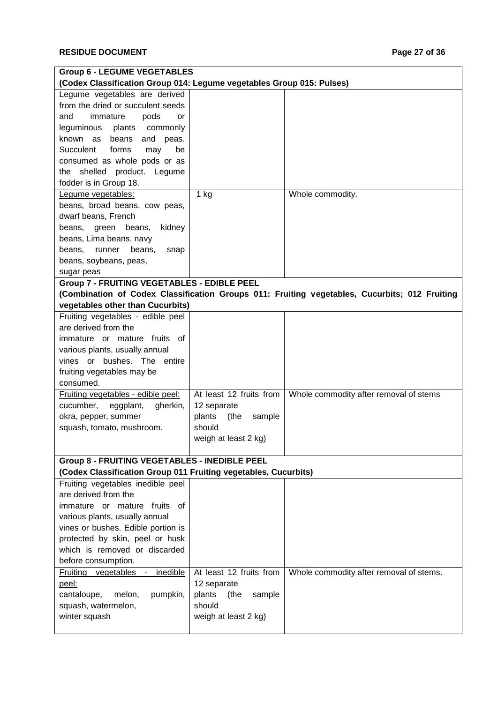| <b>Group 6 - LEGUME VEGETABLES</b>                                    |                          |                                                                                               |
|-----------------------------------------------------------------------|--------------------------|-----------------------------------------------------------------------------------------------|
| (Codex Classification Group 014: Legume vegetables Group 015: Pulses) |                          |                                                                                               |
| Legume vegetables are derived                                         |                          |                                                                                               |
| from the dried or succulent seeds                                     |                          |                                                                                               |
| and<br>immature<br>pods<br>or                                         |                          |                                                                                               |
| leguminous<br>plants<br>commonly                                      |                          |                                                                                               |
| known as<br>beans<br>and<br>peas.                                     |                          |                                                                                               |
| Succulent<br>forms<br>be<br>may                                       |                          |                                                                                               |
| consumed as whole pods or as                                          |                          |                                                                                               |
| the shelled product. Legume                                           |                          |                                                                                               |
| fodder is in Group 18.                                                |                          |                                                                                               |
| Legume vegetables:                                                    | $1$ kg                   | Whole commodity.                                                                              |
| beans, broad beans, cow peas,                                         |                          |                                                                                               |
| dwarf beans, French                                                   |                          |                                                                                               |
| kidney<br>beans, green<br>beans,                                      |                          |                                                                                               |
| beans, Lima beans, navy                                               |                          |                                                                                               |
| runner<br>beans,<br>beans,<br>snap                                    |                          |                                                                                               |
| beans, soybeans, peas,                                                |                          |                                                                                               |
| sugar peas                                                            |                          |                                                                                               |
| <b>Group 7 - FRUITING VEGETABLES - EDIBLE PEEL</b>                    |                          |                                                                                               |
|                                                                       |                          | (Combination of Codex Classification Groups 011: Fruiting vegetables, Cucurbits; 012 Fruiting |
| vegetables other than Cucurbits)                                      |                          |                                                                                               |
| Fruiting vegetables - edible peel                                     |                          |                                                                                               |
| are derived from the                                                  |                          |                                                                                               |
| immature or mature fruits of                                          |                          |                                                                                               |
| various plants, usually annual                                        |                          |                                                                                               |
| vines or bushes. The entire                                           |                          |                                                                                               |
| fruiting vegetables may be                                            |                          |                                                                                               |
| consumed.                                                             |                          |                                                                                               |
| Fruiting vegetables - edible peel:                                    | At least 12 fruits from  | Whole commodity after removal of stems                                                        |
| cucumber,<br>eggplant,<br>gherkin,                                    | 12 separate              |                                                                                               |
|                                                                       | (the<br>plants           |                                                                                               |
| okra, pepper, summer                                                  | sample<br>should         |                                                                                               |
| squash, tomato, mushroom.                                             |                          |                                                                                               |
|                                                                       | weigh at least 2 kg)     |                                                                                               |
| Group 8 - FRUITING VEGETABLES - INEDIBLE PEEL                         |                          |                                                                                               |
| (Codex Classification Group 011 Fruiting vegetables, Cucurbits)       |                          |                                                                                               |
| Fruiting vegetables inedible peel                                     |                          |                                                                                               |
| are derived from the                                                  |                          |                                                                                               |
| immature or mature fruits of                                          |                          |                                                                                               |
|                                                                       |                          |                                                                                               |
| various plants, usually annual                                        |                          |                                                                                               |
| vines or bushes. Edible portion is                                    |                          |                                                                                               |
| protected by skin, peel or husk                                       |                          |                                                                                               |
| which is removed or discarded                                         |                          |                                                                                               |
| before consumption.                                                   |                          |                                                                                               |
| Fruiting vegetables -<br>inedible                                     | At least 12 fruits from  | Whole commodity after removal of stems.                                                       |
| peel:                                                                 | 12 separate              |                                                                                               |
| cantaloupe,<br>melon,<br>pumpkin,                                     | plants<br>(the<br>sample |                                                                                               |
| squash, watermelon,                                                   | should                   |                                                                                               |
| winter squash                                                         | weigh at least 2 kg)     |                                                                                               |
|                                                                       |                          |                                                                                               |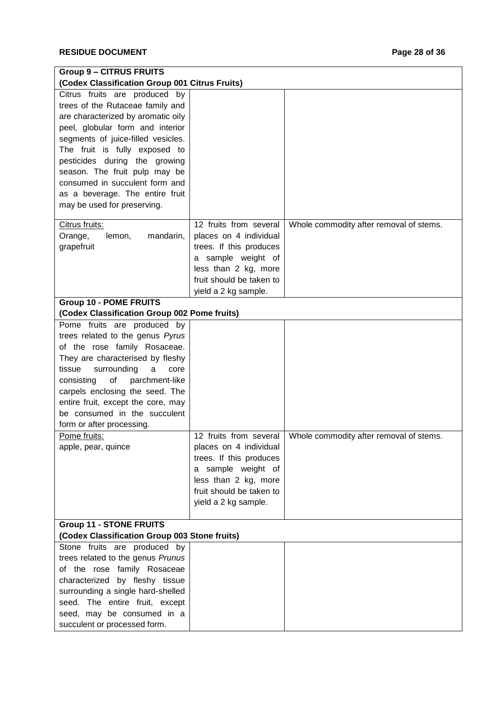| <b>Group 9 - CITRUS FRUITS</b>                 |                          |                                         |
|------------------------------------------------|--------------------------|-----------------------------------------|
| (Codex Classification Group 001 Citrus Fruits) |                          |                                         |
| Citrus fruits are produced by                  |                          |                                         |
| trees of the Rutaceae family and               |                          |                                         |
| are characterized by aromatic oily             |                          |                                         |
| peel, globular form and interior               |                          |                                         |
| segments of juice-filled vesicles.             |                          |                                         |
| The fruit is fully exposed to                  |                          |                                         |
| pesticides during the growing                  |                          |                                         |
| season. The fruit pulp may be                  |                          |                                         |
| consumed in succulent form and                 |                          |                                         |
| as a beverage. The entire fruit                |                          |                                         |
| may be used for preserving.                    |                          |                                         |
|                                                |                          |                                         |
| Citrus fruits:                                 | 12 fruits from several   | Whole commodity after removal of stems. |
| Orange,<br>lemon,<br>mandarin,                 | places on 4 individual   |                                         |
| grapefruit                                     | trees. If this produces  |                                         |
|                                                | a sample weight of       |                                         |
|                                                | less than 2 kg, more     |                                         |
|                                                | fruit should be taken to |                                         |
|                                                | yield a 2 kg sample.     |                                         |
| <b>Group 10 - POME FRUITS</b>                  |                          |                                         |
| (Codex Classification Group 002 Pome fruits)   |                          |                                         |
| Pome fruits are produced by                    |                          |                                         |
| trees related to the genus Pyrus               |                          |                                         |
| of the rose family Rosaceae.                   |                          |                                         |
| They are characterised by fleshy               |                          |                                         |
| tissue<br>surrounding<br>a<br>core             |                          |                                         |
| of<br>consisting<br>parchment-like             |                          |                                         |
| carpels enclosing the seed. The                |                          |                                         |
| entire fruit, except the core, may             |                          |                                         |
| be consumed in the succulent                   |                          |                                         |
| form or after processing.                      |                          |                                         |
| Pome fruits:                                   | 12 fruits from several   | Whole commodity after removal of stems. |
| apple, pear, quince                            | places on 4 individual   |                                         |
|                                                | trees. If this produces  |                                         |
|                                                | a sample weight of       |                                         |
|                                                | less than 2 kg, more     |                                         |
|                                                | fruit should be taken to |                                         |
|                                                | yield a 2 kg sample.     |                                         |
|                                                |                          |                                         |
| <b>Group 11 - STONE FRUITS</b>                 |                          |                                         |
| (Codex Classification Group 003 Stone fruits)  |                          |                                         |
| Stone fruits are produced by                   |                          |                                         |
| trees related to the genus Prunus              |                          |                                         |
| of the rose family Rosaceae                    |                          |                                         |
| characterized by fleshy tissue                 |                          |                                         |
| surrounding a single hard-shelled              |                          |                                         |
| seed. The entire fruit, except                 |                          |                                         |
| seed, may be consumed in a                     |                          |                                         |
| succulent or processed form.                   |                          |                                         |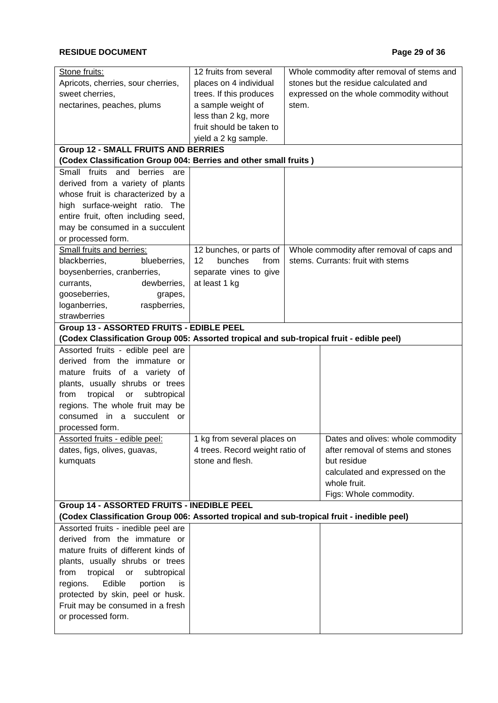| Stone fruits:                                                                              | 12 fruits from several          |                                       | Whole commodity after removal of stems and |
|--------------------------------------------------------------------------------------------|---------------------------------|---------------------------------------|--------------------------------------------|
| Apricots, cherries, sour cherries,                                                         | places on 4 individual          | stones but the residue calculated and |                                            |
| sweet cherries,                                                                            | trees. If this produces         |                                       | expressed on the whole commodity without   |
| nectarines, peaches, plums                                                                 | a sample weight of              | stem.                                 |                                            |
|                                                                                            | less than 2 kg, more            |                                       |                                            |
|                                                                                            | fruit should be taken to        |                                       |                                            |
|                                                                                            | yield a 2 kg sample.            |                                       |                                            |
| <b>Group 12 - SMALL FRUITS AND BERRIES</b>                                                 |                                 |                                       |                                            |
| (Codex Classification Group 004: Berries and other small fruits)                           |                                 |                                       |                                            |
| Small fruits and berries are                                                               |                                 |                                       |                                            |
| derived from a variety of plants                                                           |                                 |                                       |                                            |
| whose fruit is characterized by a                                                          |                                 |                                       |                                            |
| high surface-weight ratio. The                                                             |                                 |                                       |                                            |
| entire fruit, often including seed,                                                        |                                 |                                       |                                            |
| may be consumed in a succulent                                                             |                                 |                                       |                                            |
| or processed form.                                                                         |                                 |                                       |                                            |
| Small fruits and berries:                                                                  | 12 bunches, or parts of         |                                       | Whole commodity after removal of caps and  |
| blackberries,<br>blueberries,                                                              | bunches<br>12<br>from           |                                       | stems. Currants: fruit with stems          |
| boysenberries, cranberries,                                                                | separate vines to give          |                                       |                                            |
| dewberries,<br>currants,                                                                   | at least 1 kg                   |                                       |                                            |
| gooseberries,<br>grapes,                                                                   |                                 |                                       |                                            |
| loganberries,<br>raspberries,                                                              |                                 |                                       |                                            |
| strawberries                                                                               |                                 |                                       |                                            |
| Group 13 - ASSORTED FRUITS - EDIBLE PEEL                                                   |                                 |                                       |                                            |
| (Codex Classification Group 005: Assorted tropical and sub-tropical fruit - edible peel)   |                                 |                                       |                                            |
| Assorted fruits - edible peel are                                                          |                                 |                                       |                                            |
| derived from the immature or                                                               |                                 |                                       |                                            |
| mature fruits of a variety of                                                              |                                 |                                       |                                            |
| plants, usually shrubs or trees                                                            |                                 |                                       |                                            |
| tropical<br>subtropical<br>from<br>or                                                      |                                 |                                       |                                            |
| regions. The whole fruit may be                                                            |                                 |                                       |                                            |
| consumed in a succulent or                                                                 |                                 |                                       |                                            |
| processed form.                                                                            |                                 |                                       |                                            |
| Assorted fruits - edible peel:                                                             | 1 kg from several places on     |                                       | Dates and olives: whole commodity          |
| dates, figs, olives, guavas,                                                               | 4 trees. Record weight ratio of |                                       | after removal of stems and stones          |
| kumquats                                                                                   | stone and flesh.                |                                       | but residue                                |
|                                                                                            |                                 |                                       | calculated and expressed on the            |
|                                                                                            |                                 |                                       | whole fruit.                               |
|                                                                                            |                                 |                                       | Figs: Whole commodity.                     |
| Group 14 - ASSORTED FRUITS - INEDIBLE PEEL                                                 |                                 |                                       |                                            |
| (Codex Classification Group 006: Assorted tropical and sub-tropical fruit - inedible peel) |                                 |                                       |                                            |
| Assorted fruits - inedible peel are                                                        |                                 |                                       |                                            |
| derived from the immature or                                                               |                                 |                                       |                                            |
| mature fruits of different kinds of                                                        |                                 |                                       |                                            |
| plants, usually shrubs or trees                                                            |                                 |                                       |                                            |
| tropical<br>from<br>subtropical<br>or                                                      |                                 |                                       |                                            |
| Edible<br>portion<br>regions.<br>is                                                        |                                 |                                       |                                            |
| protected by skin, peel or husk.                                                           |                                 |                                       |                                            |
| Fruit may be consumed in a fresh                                                           |                                 |                                       |                                            |
| or processed form.                                                                         |                                 |                                       |                                            |
|                                                                                            |                                 |                                       |                                            |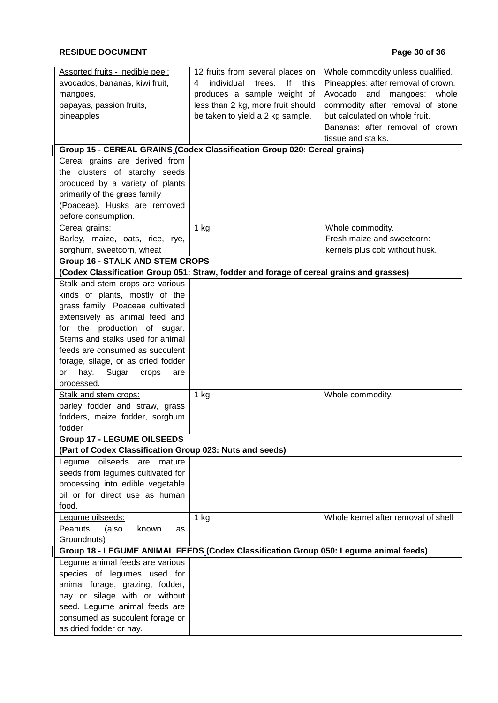| Assorted fruits - inedible peel:                                                        | 12 fruits from several places on        | Whole commodity unless qualified.   |
|-----------------------------------------------------------------------------------------|-----------------------------------------|-------------------------------------|
| avocados, bananas, kiwi fruit,                                                          | individual<br>trees.<br>lf<br>this<br>4 | Pineapples: after removal of crown. |
| mangoes,                                                                                | produces a sample weight of             | Avocado and mangoes: whole          |
| papayas, passion fruits,                                                                | less than 2 kg, more fruit should       | commodity after removal of stone    |
| pineapples                                                                              | be taken to yield a 2 kg sample.        | but calculated on whole fruit.      |
|                                                                                         |                                         | Bananas: after removal of crown     |
|                                                                                         |                                         | tissue and stalks.                  |
| Group 15 - CEREAL GRAINS (Codex Classification Group 020: Cereal grains)                |                                         |                                     |
| Cereal grains are derived from                                                          |                                         |                                     |
| the clusters of starchy seeds                                                           |                                         |                                     |
| produced by a variety of plants                                                         |                                         |                                     |
| primarily of the grass family                                                           |                                         |                                     |
| (Poaceae). Husks are removed                                                            |                                         |                                     |
| before consumption.                                                                     |                                         |                                     |
| Cereal grains:                                                                          | $1$ kg                                  | Whole commodity.                    |
| Barley, maize, oats, rice, rye,                                                         |                                         | Fresh maize and sweetcorn:          |
| sorghum, sweetcorn, wheat                                                               |                                         | kernels plus cob without husk.      |
| <b>Group 16 - STALK AND STEM CROPS</b>                                                  |                                         |                                     |
| (Codex Classification Group 051: Straw, fodder and forage of cereal grains and grasses) |                                         |                                     |
| Stalk and stem crops are various                                                        |                                         |                                     |
| kinds of plants, mostly of the                                                          |                                         |                                     |
| grass family Poaceae cultivated                                                         |                                         |                                     |
| extensively as animal feed and                                                          |                                         |                                     |
| for the production of sugar.                                                            |                                         |                                     |
| Stems and stalks used for animal                                                        |                                         |                                     |
| feeds are consumed as succulent                                                         |                                         |                                     |
| forage, silage, or as dried fodder                                                      |                                         |                                     |
| Sugar<br>hay.<br>are                                                                    |                                         |                                     |
| crops<br>or<br>processed.                                                               |                                         |                                     |
|                                                                                         |                                         |                                     |
| Stalk and stem crops:                                                                   | $1$ kg                                  | Whole commodity.                    |
| barley fodder and straw, grass                                                          |                                         |                                     |
| fodders, maize fodder, sorghum                                                          |                                         |                                     |
| fodder                                                                                  |                                         |                                     |
| <b>Group 17 - LEGUME OILSEEDS</b>                                                       |                                         |                                     |
| (Part of Codex Classification Group 023: Nuts and seeds)                                |                                         |                                     |
| oilseeds<br>Legume<br>are<br>mature                                                     |                                         |                                     |
| seeds from legumes cultivated for                                                       |                                         |                                     |
| processing into edible vegetable                                                        |                                         |                                     |
| oil or for direct use as human                                                          |                                         |                                     |
| food.                                                                                   |                                         |                                     |
| Legume oilseeds:                                                                        | $1$ kg                                  | Whole kernel after removal of shell |
| Peanuts<br>(also<br>known<br>as                                                         |                                         |                                     |
| Groundnuts)                                                                             |                                         |                                     |
| Group 18 - LEGUME ANIMAL FEEDS (Codex Classification Group 050: Legume animal feeds)    |                                         |                                     |
| Legume animal feeds are various                                                         |                                         |                                     |
| species of legumes used for                                                             |                                         |                                     |
| animal forage, grazing, fodder,                                                         |                                         |                                     |
| hay or silage with or without                                                           |                                         |                                     |
| seed. Legume animal feeds are                                                           |                                         |                                     |
| consumed as succulent forage or                                                         |                                         |                                     |
| as dried fodder or hay.                                                                 |                                         |                                     |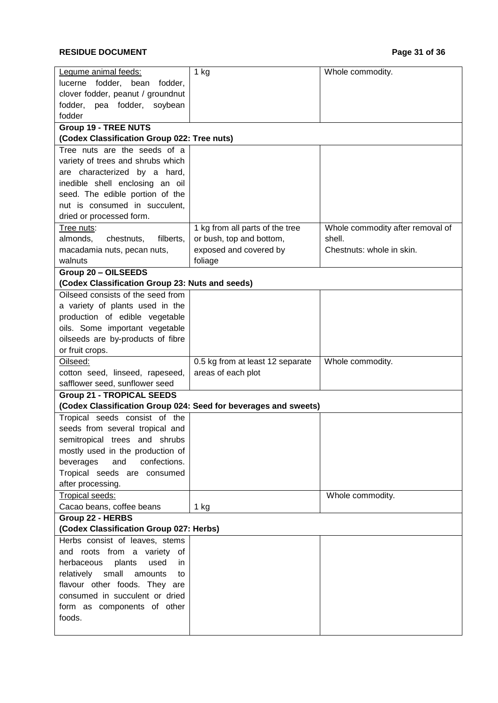### **RESIDUE DOCUMENT Page 31 of 36**

| Legume animal feeds:                                              | $1$ kg                                                          | Whole commodity.                 |  |
|-------------------------------------------------------------------|-----------------------------------------------------------------|----------------------------------|--|
| lucerne fodder, bean fodder,                                      |                                                                 |                                  |  |
| clover fodder, peanut / groundnut                                 |                                                                 |                                  |  |
| fodder, pea fodder, soybean                                       |                                                                 |                                  |  |
| fodder                                                            |                                                                 |                                  |  |
| <b>Group 19 - TREE NUTS</b>                                       |                                                                 |                                  |  |
| (Codex Classification Group 022: Tree nuts)                       |                                                                 |                                  |  |
| Tree nuts are the seeds of a                                      |                                                                 |                                  |  |
| variety of trees and shrubs which                                 |                                                                 |                                  |  |
| are characterized by a hard,                                      |                                                                 |                                  |  |
| inedible shell enclosing an oil                                   |                                                                 |                                  |  |
| seed. The edible portion of the                                   |                                                                 |                                  |  |
| nut is consumed in succulent,                                     |                                                                 |                                  |  |
| dried or processed form.                                          |                                                                 |                                  |  |
| Tree nuts:                                                        | 1 kg from all parts of the tree                                 | Whole commodity after removal of |  |
| filberts,<br>almonds,<br>chestnuts,                               | or bush, top and bottom,                                        | shell.                           |  |
| macadamia nuts, pecan nuts,                                       | exposed and covered by                                          | Chestnuts: whole in skin.        |  |
| walnuts                                                           | foliage                                                         |                                  |  |
| Group 20 - OILSEEDS                                               |                                                                 |                                  |  |
| (Codex Classification Group 23: Nuts and seeds)                   |                                                                 |                                  |  |
| Oilseed consists of the seed from                                 |                                                                 |                                  |  |
| a variety of plants used in the                                   |                                                                 |                                  |  |
| production of edible vegetable                                    |                                                                 |                                  |  |
| oils. Some important vegetable                                    |                                                                 |                                  |  |
| oilseeds are by-products of fibre                                 |                                                                 |                                  |  |
| or fruit crops.                                                   |                                                                 |                                  |  |
| Oilseed:                                                          | 0.5 kg from at least 12 separate                                | Whole commodity.                 |  |
| cotton seed, linseed, rapeseed,<br>safflower seed, sunflower seed | areas of each plot                                              |                                  |  |
| <b>Group 21 - TROPICAL SEEDS</b>                                  |                                                                 |                                  |  |
|                                                                   | (Codex Classification Group 024: Seed for beverages and sweets) |                                  |  |
| Tropical seeds consist of the                                     |                                                                 |                                  |  |
| seeds from several tropical and                                   |                                                                 |                                  |  |
| semitropical trees and shrubs                                     |                                                                 |                                  |  |
| mostly used in the production of                                  |                                                                 |                                  |  |
| and<br>confections.<br>beverages                                  |                                                                 |                                  |  |
| Tropical seeds are consumed                                       |                                                                 |                                  |  |
| after processing.                                                 |                                                                 |                                  |  |
| Tropical seeds:                                                   |                                                                 | Whole commodity.                 |  |
| Cacao beans, coffee beans                                         | 1 kg                                                            |                                  |  |
| Group 22 - HERBS                                                  |                                                                 |                                  |  |
| (Codex Classification Group 027: Herbs)                           |                                                                 |                                  |  |
| Herbs consist of leaves, stems                                    |                                                                 |                                  |  |
| and roots from a variety of                                       |                                                                 |                                  |  |
| herbaceous<br>plants<br>used<br>in.                               |                                                                 |                                  |  |
| small<br>relatively<br>amounts<br>to                              |                                                                 |                                  |  |
| flavour other foods. They are                                     |                                                                 |                                  |  |
| consumed in succulent or dried                                    |                                                                 |                                  |  |
| form as components of other                                       |                                                                 |                                  |  |
| foods.                                                            |                                                                 |                                  |  |
|                                                                   |                                                                 |                                  |  |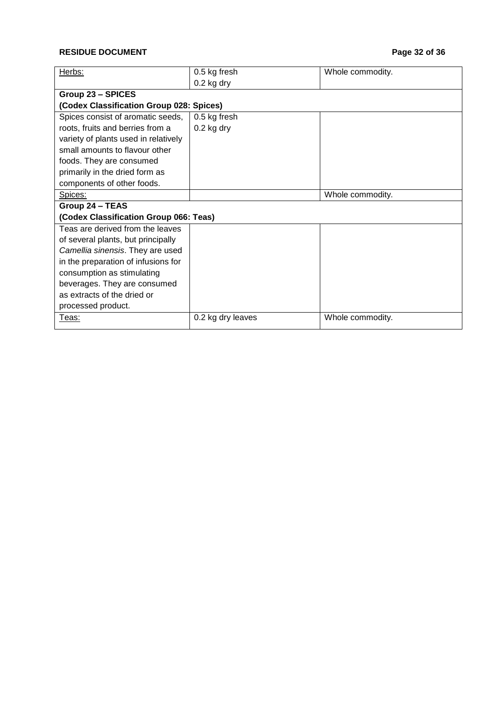### **RESIDUE DOCUMENT Page 32 of 36**

| Herbs:                                   | 0.5 kg fresh      | Whole commodity. |  |
|------------------------------------------|-------------------|------------------|--|
|                                          | $0.2$ kg dry      |                  |  |
| <b>Group 23 - SPICES</b>                 |                   |                  |  |
| (Codex Classification Group 028: Spices) |                   |                  |  |
| Spices consist of aromatic seeds,        | 0.5 kg fresh      |                  |  |
| roots, fruits and berries from a         | $0.2$ kg dry      |                  |  |
| variety of plants used in relatively     |                   |                  |  |
| small amounts to flavour other           |                   |                  |  |
| foods. They are consumed                 |                   |                  |  |
| primarily in the dried form as           |                   |                  |  |
| components of other foods.               |                   |                  |  |
| Spices:                                  |                   | Whole commodity. |  |
| Group 24 - TEAS                          |                   |                  |  |
| (Codex Classification Group 066: Teas)   |                   |                  |  |
| Teas are derived from the leaves         |                   |                  |  |
| of several plants, but principally       |                   |                  |  |
| Camellia sinensis. They are used         |                   |                  |  |
| in the preparation of infusions for      |                   |                  |  |
| consumption as stimulating               |                   |                  |  |
| beverages. They are consumed             |                   |                  |  |
| as extracts of the dried or              |                   |                  |  |
| processed product.                       |                   |                  |  |
| Teas:                                    | 0.2 kg dry leaves | Whole commodity. |  |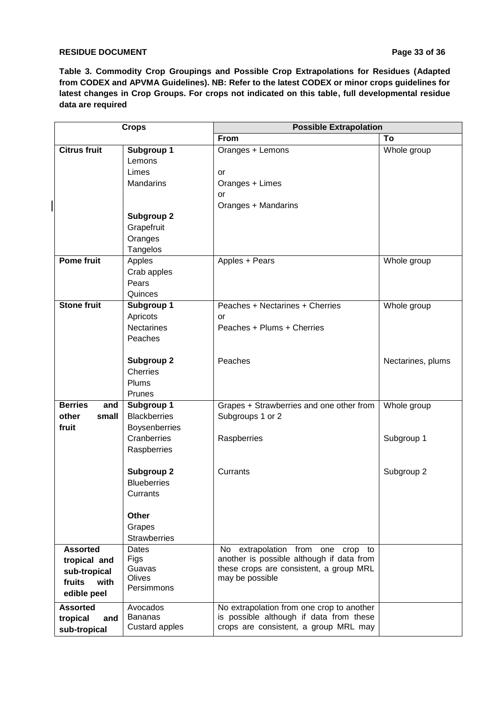#### **RESIDUE DOCUMENT Page 33 of 36**

**Table 3. Commodity Crop Groupings and Possible Crop Extrapolations for Residues (Adapted from CODEX and APVMA Guidelines). NB: Refer to the latest CODEX or minor crops guidelines for latest changes in Crop Groups. For crops not indicated on this table, full developmental residue data are required** 

|                                | <b>Crops</b>                      | <b>Possible Extrapolation</b>             |                   |
|--------------------------------|-----------------------------------|-------------------------------------------|-------------------|
|                                |                                   | From                                      | To                |
| <b>Citrus fruit</b>            | Subgroup 1                        | Oranges + Lemons                          | Whole group       |
|                                | Lemons                            |                                           |                   |
|                                | Limes                             | or                                        |                   |
|                                | <b>Mandarins</b>                  | Oranges + Limes                           |                   |
|                                |                                   | <b>or</b>                                 |                   |
|                                |                                   | Oranges + Mandarins                       |                   |
|                                | Subgroup 2                        |                                           |                   |
|                                | Grapefruit                        |                                           |                   |
|                                | Oranges                           |                                           |                   |
|                                | Tangelos                          |                                           |                   |
| <b>Pome fruit</b>              | Apples                            | Apples + Pears                            | Whole group       |
|                                | Crab apples                       |                                           |                   |
|                                | Pears                             |                                           |                   |
|                                | Quinces                           |                                           |                   |
| <b>Stone fruit</b>             | Subgroup 1                        | Peaches + Nectarines + Cherries           | Whole group       |
|                                | Apricots                          | or                                        |                   |
|                                | <b>Nectarines</b>                 | Peaches + Plums + Cherries                |                   |
|                                | Peaches                           |                                           |                   |
|                                |                                   |                                           |                   |
|                                | <b>Subgroup 2</b>                 | Peaches                                   | Nectarines, plums |
|                                | <b>Cherries</b>                   |                                           |                   |
|                                | Plums                             |                                           |                   |
|                                | Prunes                            |                                           |                   |
| <b>Berries</b><br>and<br>other | Subgroup 1<br><b>Blackberries</b> | Grapes + Strawberries and one other from  | Whole group       |
| small<br>fruit                 |                                   | Subgroups 1 or 2                          |                   |
|                                | Boysenberries<br>Cranberries      |                                           | Subgroup 1        |
|                                | Raspberries                       | Raspberries                               |                   |
|                                |                                   |                                           |                   |
|                                | <b>Subgroup 2</b>                 | Currants                                  | Subgroup 2        |
|                                | <b>Blueberries</b>                |                                           |                   |
|                                | Currants                          |                                           |                   |
|                                |                                   |                                           |                   |
|                                | Other                             |                                           |                   |
|                                | Grapes                            |                                           |                   |
|                                | <b>Strawberries</b>               |                                           |                   |
| <b>Assorted</b>                | Dates                             | No extrapolation from one crop to         |                   |
| tropical and                   | Figs                              | another is possible although if data from |                   |
| sub-tropical                   | Guavas                            | these crops are consistent, a group MRL   |                   |
| with<br>fruits                 | <b>Olives</b><br>Persimmons       | may be possible                           |                   |
| edible peel                    |                                   |                                           |                   |
| <b>Assorted</b>                | Avocados                          | No extrapolation from one crop to another |                   |
| tropical<br>and                | <b>Bananas</b>                    | is possible although if data from these   |                   |
| sub-tropical                   | <b>Custard apples</b>             | crops are consistent, a group MRL may     |                   |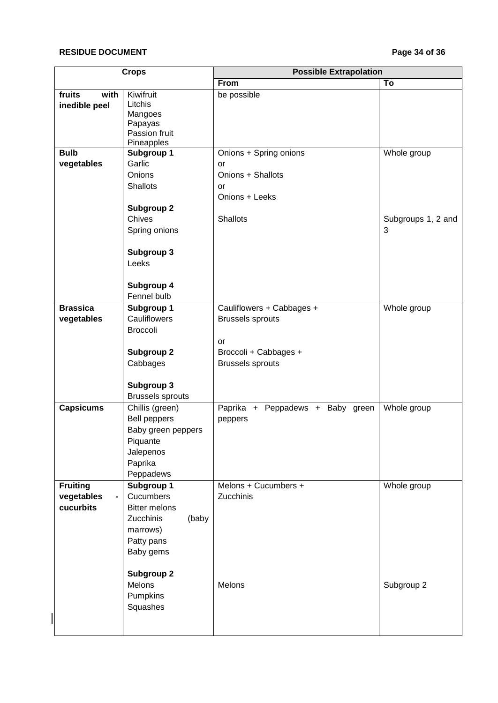### **RESIDUE DOCUMENT Page 34 of 36**

| <b>Crops</b>            |                                        | <b>Possible Extrapolation</b>    |                    |
|-------------------------|----------------------------------------|----------------------------------|--------------------|
|                         |                                        | From                             | To                 |
| with<br>fruits          | Kiwifruit                              | be possible                      |                    |
| inedible peel           | Litchis                                |                                  |                    |
|                         | Mangoes                                |                                  |                    |
|                         | Papayas                                |                                  |                    |
|                         | Passion fruit                          |                                  |                    |
| <b>Bulb</b>             | Pineapples<br><b>Subgroup 1</b>        | Onions + Spring onions           | Whole group        |
| vegetables              | Garlic                                 | or                               |                    |
|                         | Onions                                 | Onions + Shallots                |                    |
|                         | <b>Shallots</b>                        |                                  |                    |
|                         |                                        | or<br>Onions + Leeks             |                    |
|                         |                                        |                                  |                    |
|                         | <b>Subgroup 2</b>                      |                                  |                    |
|                         | Chives                                 | <b>Shallots</b>                  | Subgroups 1, 2 and |
|                         | Spring onions                          |                                  | 3                  |
|                         | Subgroup 3                             |                                  |                    |
|                         | Leeks                                  |                                  |                    |
|                         | Subgroup 4                             |                                  |                    |
|                         | Fennel bulb                            |                                  |                    |
| <b>Brassica</b>         | Subgroup 1                             | Cauliflowers + Cabbages +        | Whole group        |
| vegetables              | Cauliflowers                           | <b>Brussels sprouts</b>          |                    |
|                         | <b>Broccoli</b>                        |                                  |                    |
|                         |                                        | or                               |                    |
|                         | <b>Subgroup 2</b>                      | Broccoli + Cabbages +            |                    |
|                         | Cabbages                               | <b>Brussels sprouts</b>          |                    |
|                         |                                        |                                  |                    |
|                         | Subgroup 3                             |                                  |                    |
|                         | <b>Brussels sprouts</b>                |                                  |                    |
| <b>Capsicums</b>        |                                        |                                  | Whole group        |
|                         | Chillis (green)<br><b>Bell peppers</b> | Paprika + Peppadews + Baby green |                    |
|                         |                                        | peppers                          |                    |
|                         | Baby green peppers                     |                                  |                    |
|                         | Piquante                               |                                  |                    |
|                         | Jalepenos                              |                                  |                    |
|                         | Paprika                                |                                  |                    |
|                         | Peppadews                              | Melons + Cucumbers +             |                    |
| <b>Fruiting</b>         | Subgroup 1<br>Cucumbers                | Zucchinis                        | Whole group        |
| vegetables<br>cucurbits |                                        |                                  |                    |
|                         | <b>Bitter melons</b>                   |                                  |                    |
|                         | Zucchinis<br>(baby                     |                                  |                    |
|                         | marrows)                               |                                  |                    |
|                         | Patty pans                             |                                  |                    |
|                         | Baby gems                              |                                  |                    |
|                         | <b>Subgroup 2</b>                      |                                  |                    |
|                         | Melons                                 | Melons                           | Subgroup 2         |
|                         | Pumpkins                               |                                  |                    |
|                         | Squashes                               |                                  |                    |
|                         |                                        |                                  |                    |
|                         |                                        |                                  |                    |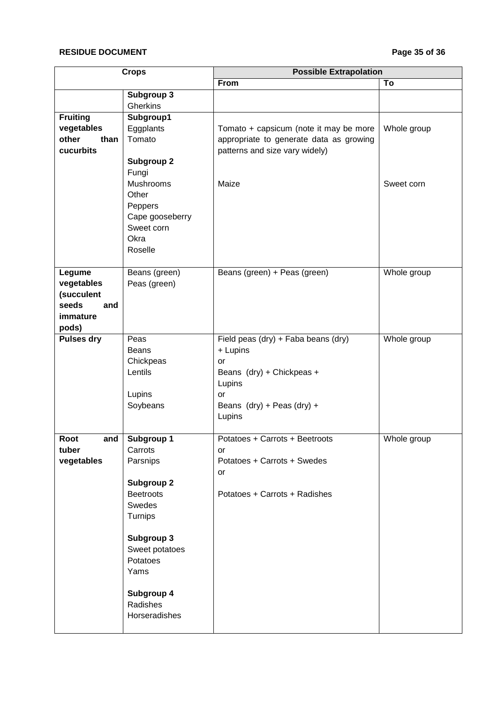### **RESIDUE DOCUMENT Page 35 of 36**

| <b>Crops</b>      |                   | <b>Possible Extrapolation</b>           |             |
|-------------------|-------------------|-----------------------------------------|-------------|
|                   |                   | <b>From</b>                             | To          |
|                   | Subgroup 3        |                                         |             |
|                   | Gherkins          |                                         |             |
| <b>Fruiting</b>   | Subgroup1         |                                         |             |
| vegetables        | Eggplants         | Tomato + capsicum (note it may be more  | Whole group |
| other<br>than     | Tomato            | appropriate to generate data as growing |             |
| cucurbits         |                   | patterns and size vary widely)          |             |
|                   | <b>Subgroup 2</b> |                                         |             |
|                   | Fungi             |                                         |             |
|                   | Mushrooms         | Maize                                   | Sweet corn  |
|                   | Other             |                                         |             |
|                   | Peppers           |                                         |             |
|                   | Cape gooseberry   |                                         |             |
|                   | Sweet corn        |                                         |             |
|                   | Okra              |                                         |             |
|                   | Roselle           |                                         |             |
|                   |                   |                                         |             |
| Legume            | Beans (green)     | Beans (green) + Peas (green)            | Whole group |
| vegetables        | Peas (green)      |                                         |             |
| (succulent        |                   |                                         |             |
| seeds<br>and      |                   |                                         |             |
| immature          |                   |                                         |             |
| pods)             |                   |                                         |             |
| <b>Pulses dry</b> | Peas              | Field peas (dry) + Faba beans (dry)     | Whole group |
|                   | <b>Beans</b>      | + Lupins                                |             |
|                   | Chickpeas         | or                                      |             |
|                   | Lentils           | Beans (dry) + Chickpeas +               |             |
|                   |                   | Lupins                                  |             |
|                   | Lupins            | <b>or</b>                               |             |
|                   | Soybeans          | Beans $(dry) + Peas (dry) +$            |             |
|                   |                   | Lupins                                  |             |
| and<br>Root       | Subgroup 1        | Potatoes + Carrots + Beetroots          | Whole group |
| tuber             | Carrots           | or                                      |             |
| vegetables        | Parsnips          | Potatoes + Carrots + Swedes             |             |
|                   |                   | or                                      |             |
|                   | <b>Subgroup 2</b> |                                         |             |
|                   | <b>Beetroots</b>  | Potatoes + Carrots + Radishes           |             |
|                   | Swedes            |                                         |             |
|                   | Turnips           |                                         |             |
|                   |                   |                                         |             |
|                   | Subgroup 3        |                                         |             |
|                   | Sweet potatoes    |                                         |             |
|                   | Potatoes          |                                         |             |
|                   | Yams              |                                         |             |
|                   |                   |                                         |             |
|                   | Subgroup 4        |                                         |             |
|                   | Radishes          |                                         |             |
|                   | Horseradishes     |                                         |             |
|                   |                   |                                         |             |